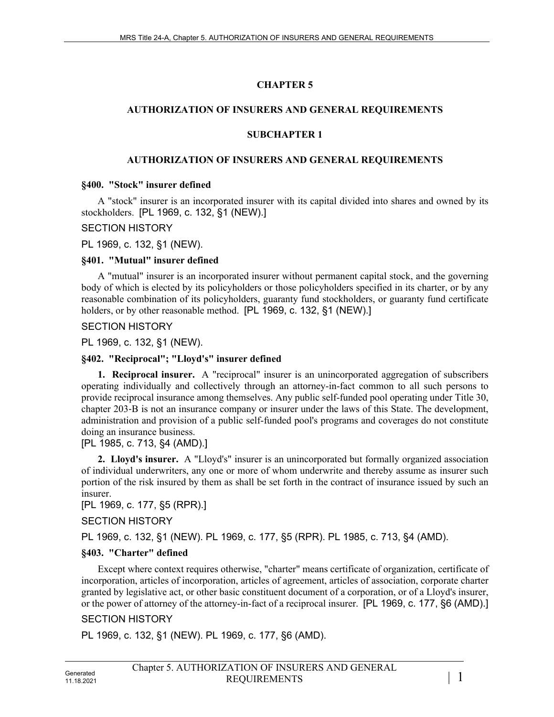# **CHAPTER 5**

### **AUTHORIZATION OF INSURERS AND GENERAL REQUIREMENTS**

### **SUBCHAPTER 1**

### **AUTHORIZATION OF INSURERS AND GENERAL REQUIREMENTS**

### **§400. "Stock" insurer defined**

A "stock" insurer is an incorporated insurer with its capital divided into shares and owned by its stockholders. [PL 1969, c. 132, §1 (NEW).]

### SECTION HISTORY

PL 1969, c. 132, §1 (NEW).

### **§401. "Mutual" insurer defined**

A "mutual" insurer is an incorporated insurer without permanent capital stock, and the governing body of which is elected by its policyholders or those policyholders specified in its charter, or by any reasonable combination of its policyholders, guaranty fund stockholders, or guaranty fund certificate holders, or by other reasonable method. [PL 1969, c. 132, §1 (NEW).]

SECTION HISTORY

PL 1969, c. 132, §1 (NEW).

## **§402. "Reciprocal"; "Lloyd's" insurer defined**

**1. Reciprocal insurer.** A "reciprocal" insurer is an unincorporated aggregation of subscribers operating individually and collectively through an attorney-in-fact common to all such persons to provide reciprocal insurance among themselves. Any public self-funded pool operating under Title 30, chapter 203‑B is not an insurance company or insurer under the laws of this State. The development, administration and provision of a public self-funded pool's programs and coverages do not constitute doing an insurance business.

### [PL 1985, c. 713, §4 (AMD).]

**2. Lloyd's insurer.** A "Lloyd's" insurer is an unincorporated but formally organized association of individual underwriters, any one or more of whom underwrite and thereby assume as insurer such portion of the risk insured by them as shall be set forth in the contract of insurance issued by such an insurer.

[PL 1969, c. 177, §5 (RPR).]

SECTION HISTORY

PL 1969, c. 132, §1 (NEW). PL 1969, c. 177, §5 (RPR). PL 1985, c. 713, §4 (AMD).

## **§403. "Charter" defined**

Except where context requires otherwise, "charter" means certificate of organization, certificate of incorporation, articles of incorporation, articles of agreement, articles of association, corporate charter granted by legislative act, or other basic constituent document of a corporation, or of a Lloyd's insurer, or the power of attorney of the attorney-in-fact of a reciprocal insurer. [PL 1969, c. 177, §6 (AMD).]

## SECTION HISTORY

PL 1969, c. 132, §1 (NEW). PL 1969, c. 177, §6 (AMD).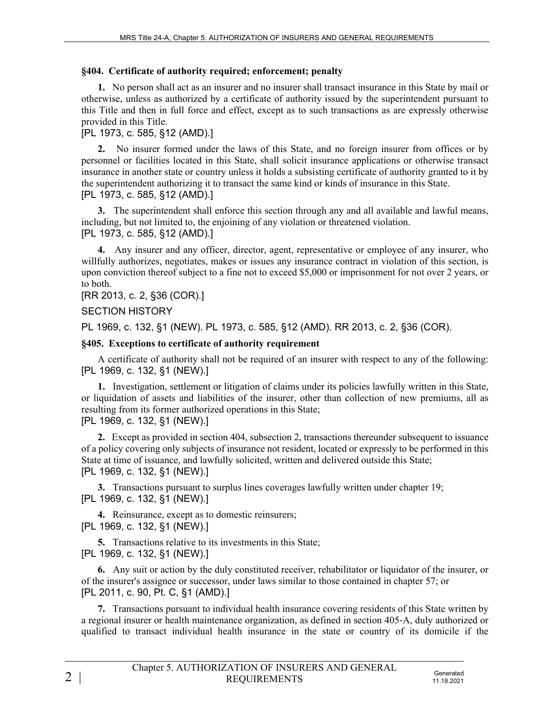#### **§404. Certificate of authority required; enforcement; penalty**

**1.** No person shall act as an insurer and no insurer shall transact insurance in this State by mail or otherwise, unless as authorized by a certificate of authority issued by the superintendent pursuant to this Title and then in full force and effect, except as to such transactions as are expressly otherwise provided in this Title.

### [PL 1973, c. 585, §12 (AMD).]

**2.** No insurer formed under the laws of this State, and no foreign insurer from offices or by personnel or facilities located in this State, shall solicit insurance applications or otherwise transact insurance in another state or country unless it holds a subsisting certificate of authority granted to it by the superintendent authorizing it to transact the same kind or kinds of insurance in this State. [PL 1973, c. 585, §12 (AMD).]

**3.** The superintendent shall enforce this section through any and all available and lawful means, including, but not limited to, the enjoining of any violation or threatened violation. [PL 1973, c. 585, §12 (AMD).]

**4.** Any insurer and any officer, director, agent, representative or employee of any insurer, who willfully authorizes, negotiates, makes or issues any insurance contract in violation of this section, is upon conviction thereof subject to a fine not to exceed \$5,000 or imprisonment for not over 2 years, or to both.

#### [RR 2013, c. 2, §36 (COR).]

#### SECTION HISTORY

PL 1969, c. 132, §1 (NEW). PL 1973, c. 585, §12 (AMD). RR 2013, c. 2, §36 (COR).

#### **§405. Exceptions to certificate of authority requirement**

A certificate of authority shall not be required of an insurer with respect to any of the following: [PL 1969, c. 132, §1 (NEW).]

**1.** Investigation, settlement or litigation of claims under its policies lawfully written in this State, or liquidation of assets and liabilities of the insurer, other than collection of new premiums, all as resulting from its former authorized operations in this State;

[PL 1969, c. 132, §1 (NEW).]

**2.** Except as provided in section 404, subsection 2, transactions thereunder subsequent to issuance of a policy covering only subjects of insurance not resident, located or expressly to be performed in this State at time of issuance, and lawfully solicited, written and delivered outside this State; [PL 1969, c. 132, §1 (NEW).]

**3.** Transactions pursuant to surplus lines coverages lawfully written under chapter 19; [PL 1969, c. 132, §1 (NEW).]

**4.** Reinsurance, except as to domestic reinsurers; [PL 1969, c. 132, §1 (NEW).]

**5.** Transactions relative to its investments in this State; [PL 1969, c. 132, §1 (NEW).]

**6.** Any suit or action by the duly constituted receiver, rehabilitator or liquidator of the insurer, or of the insurer's assignee or successor, under laws similar to those contained in chapter 57; or [PL 2011, c. 90, Pt. C, §1 (AMD).]

**7.** Transactions pursuant to individual health insurance covering residents of this State written by a regional insurer or health maintenance organization, as defined in section 405‑A, duly authorized or qualified to transact individual health insurance in the state or country of its domicile if the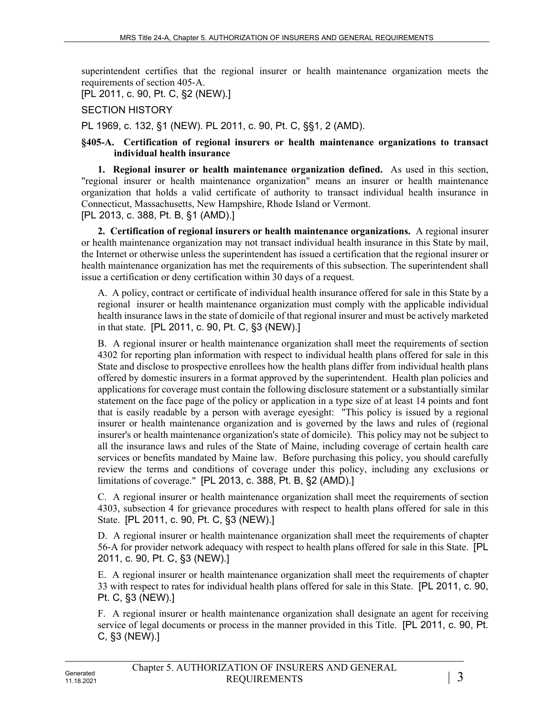superintendent certifies that the regional insurer or health maintenance organization meets the requirements of section 405‑A.

[PL 2011, c. 90, Pt. C, §2 (NEW).]

### SECTION HISTORY

PL 1969, c. 132, §1 (NEW). PL 2011, c. 90, Pt. C, §§1, 2 (AMD).

#### **§405-A. Certification of regional insurers or health maintenance organizations to transact individual health insurance**

**1. Regional insurer or health maintenance organization defined.** As used in this section, "regional insurer or health maintenance organization" means an insurer or health maintenance organization that holds a valid certificate of authority to transact individual health insurance in Connecticut, Massachusetts, New Hampshire, Rhode Island or Vermont. [PL 2013, c. 388, Pt. B, §1 (AMD).]

**2. Certification of regional insurers or health maintenance organizations.** A regional insurer or health maintenance organization may not transact individual health insurance in this State by mail, the Internet or otherwise unless the superintendent has issued a certification that the regional insurer or health maintenance organization has met the requirements of this subsection. The superintendent shall issue a certification or deny certification within 30 days of a request.

A. A policy, contract or certificate of individual health insurance offered for sale in this State by a regional insurer or health maintenance organization must comply with the applicable individual health insurance laws in the state of domicile of that regional insurer and must be actively marketed in that state. [PL 2011, c. 90, Pt. C, §3 (NEW).]

B. A regional insurer or health maintenance organization shall meet the requirements of section 4302 for reporting plan information with respect to individual health plans offered for sale in this State and disclose to prospective enrollees how the health plans differ from individual health plans offered by domestic insurers in a format approved by the superintendent. Health plan policies and applications for coverage must contain the following disclosure statement or a substantially similar statement on the face page of the policy or application in a type size of at least 14 points and font that is easily readable by a person with average eyesight: "This policy is issued by a regional insurer or health maintenance organization and is governed by the laws and rules of (regional insurer's or health maintenance organization's state of domicile). This policy may not be subject to all the insurance laws and rules of the State of Maine, including coverage of certain health care services or benefits mandated by Maine law. Before purchasing this policy, you should carefully review the terms and conditions of coverage under this policy, including any exclusions or limitations of coverage." [PL 2013, c. 388, Pt. B, §2 (AMD).]

C. A regional insurer or health maintenance organization shall meet the requirements of section 4303, subsection 4 for grievance procedures with respect to health plans offered for sale in this State. [PL 2011, c. 90, Pt. C, §3 (NEW).]

D. A regional insurer or health maintenance organization shall meet the requirements of chapter 56‑A for provider network adequacy with respect to health plans offered for sale in this State. [PL 2011, c. 90, Pt. C, §3 (NEW).]

E. A regional insurer or health maintenance organization shall meet the requirements of chapter 33 with respect to rates for individual health plans offered for sale in this State. [PL 2011, c. 90, Pt. C, §3 (NEW).]

F. A regional insurer or health maintenance organization shall designate an agent for receiving service of legal documents or process in the manner provided in this Title. [PL 2011, c. 90, Pt. C, §3 (NEW).]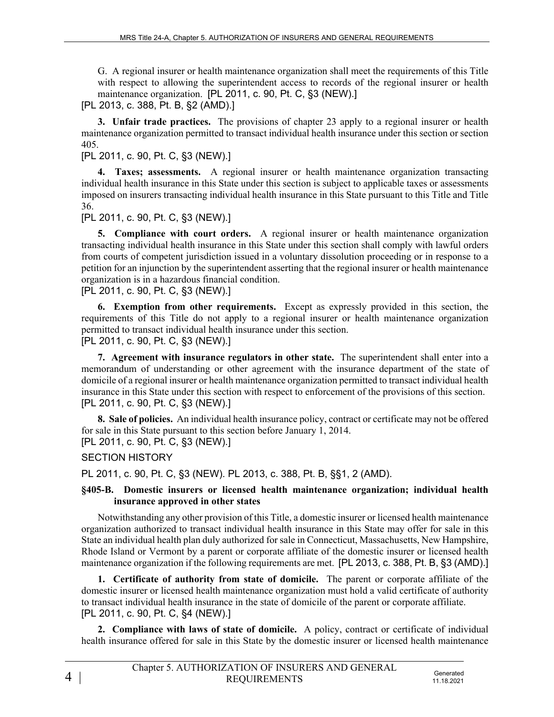G. A regional insurer or health maintenance organization shall meet the requirements of this Title with respect to allowing the superintendent access to records of the regional insurer or health maintenance organization. [PL 2011, c. 90, Pt. C, §3 (NEW).]

[PL 2013, c. 388, Pt. B, §2 (AMD).]

**3. Unfair trade practices.** The provisions of chapter 23 apply to a regional insurer or health maintenance organization permitted to transact individual health insurance under this section or section 405.

## [PL 2011, c. 90, Pt. C, §3 (NEW).]

**4. Taxes; assessments.** A regional insurer or health maintenance organization transacting individual health insurance in this State under this section is subject to applicable taxes or assessments imposed on insurers transacting individual health insurance in this State pursuant to this Title and Title 36.

[PL 2011, c. 90, Pt. C, §3 (NEW).]

**5. Compliance with court orders.** A regional insurer or health maintenance organization transacting individual health insurance in this State under this section shall comply with lawful orders from courts of competent jurisdiction issued in a voluntary dissolution proceeding or in response to a petition for an injunction by the superintendent asserting that the regional insurer or health maintenance organization is in a hazardous financial condition.

[PL 2011, c. 90, Pt. C, §3 (NEW).]

**6. Exemption from other requirements.** Except as expressly provided in this section, the requirements of this Title do not apply to a regional insurer or health maintenance organization permitted to transact individual health insurance under this section.

[PL 2011, c. 90, Pt. C, §3 (NEW).]

**7. Agreement with insurance regulators in other state.** The superintendent shall enter into a memorandum of understanding or other agreement with the insurance department of the state of domicile of a regional insurer or health maintenance organization permitted to transact individual health insurance in this State under this section with respect to enforcement of the provisions of this section. [PL 2011, c. 90, Pt. C, §3 (NEW).]

**8. Sale of policies.** An individual health insurance policy, contract or certificate may not be offered for sale in this State pursuant to this section before January 1, 2014. [PL 2011, c. 90, Pt. C, §3 (NEW).]

### SECTION HISTORY

PL 2011, c. 90, Pt. C, §3 (NEW). PL 2013, c. 388, Pt. B, §§1, 2 (AMD).

#### **§405-B. Domestic insurers or licensed health maintenance organization; individual health insurance approved in other states**

Notwithstanding any other provision of this Title, a domestic insurer or licensed health maintenance organization authorized to transact individual health insurance in this State may offer for sale in this State an individual health plan duly authorized for sale in Connecticut, Massachusetts, New Hampshire, Rhode Island or Vermont by a parent or corporate affiliate of the domestic insurer or licensed health maintenance organization if the following requirements are met. [PL 2013, c. 388, Pt. B, §3 (AMD).]

**1. Certificate of authority from state of domicile.** The parent or corporate affiliate of the domestic insurer or licensed health maintenance organization must hold a valid certificate of authority to transact individual health insurance in the state of domicile of the parent or corporate affiliate. [PL 2011, c. 90, Pt. C, §4 (NEW).]

**2. Compliance with laws of state of domicile.** A policy, contract or certificate of individual health insurance offered for sale in this State by the domestic insurer or licensed health maintenance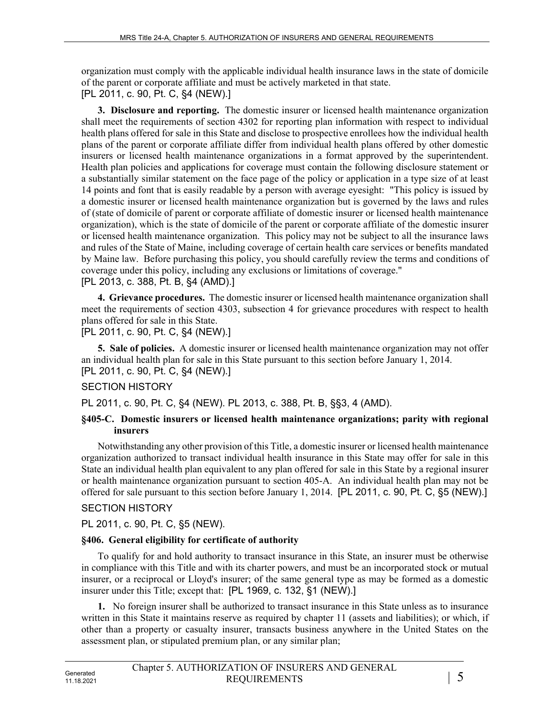organization must comply with the applicable individual health insurance laws in the state of domicile of the parent or corporate affiliate and must be actively marketed in that state. [PL 2011, c. 90, Pt. C, §4 (NEW).]

**3. Disclosure and reporting.** The domestic insurer or licensed health maintenance organization shall meet the requirements of section 4302 for reporting plan information with respect to individual health plans offered for sale in this State and disclose to prospective enrollees how the individual health plans of the parent or corporate affiliate differ from individual health plans offered by other domestic insurers or licensed health maintenance organizations in a format approved by the superintendent. Health plan policies and applications for coverage must contain the following disclosure statement or a substantially similar statement on the face page of the policy or application in a type size of at least 14 points and font that is easily readable by a person with average eyesight: "This policy is issued by a domestic insurer or licensed health maintenance organization but is governed by the laws and rules of (state of domicile of parent or corporate affiliate of domestic insurer or licensed health maintenance organization), which is the state of domicile of the parent or corporate affiliate of the domestic insurer or licensed health maintenance organization. This policy may not be subject to all the insurance laws and rules of the State of Maine, including coverage of certain health care services or benefits mandated by Maine law. Before purchasing this policy, you should carefully review the terms and conditions of coverage under this policy, including any exclusions or limitations of coverage." [PL 2013, c. 388, Pt. B, §4 (AMD).]

**4. Grievance procedures.** The domestic insurer or licensed health maintenance organization shall meet the requirements of section 4303, subsection 4 for grievance procedures with respect to health plans offered for sale in this State.

[PL 2011, c. 90, Pt. C, §4 (NEW).]

**5. Sale of policies.** A domestic insurer or licensed health maintenance organization may not offer an individual health plan for sale in this State pursuant to this section before January 1, 2014. [PL 2011, c. 90, Pt. C, §4 (NEW).]

## SECTION HISTORY

PL 2011, c. 90, Pt. C, §4 (NEW). PL 2013, c. 388, Pt. B, §§3, 4 (AMD).

#### **§405-C. Domestic insurers or licensed health maintenance organizations; parity with regional insurers**

Notwithstanding any other provision of this Title, a domestic insurer or licensed health maintenance organization authorized to transact individual health insurance in this State may offer for sale in this State an individual health plan equivalent to any plan offered for sale in this State by a regional insurer or health maintenance organization pursuant to section 405-A. An individual health plan may not be offered for sale pursuant to this section before January 1, 2014. [PL 2011, c. 90, Pt. C, §5 (NEW).]

## SECTION HISTORY

PL 2011, c. 90, Pt. C, §5 (NEW).

## **§406. General eligibility for certificate of authority**

To qualify for and hold authority to transact insurance in this State, an insurer must be otherwise in compliance with this Title and with its charter powers, and must be an incorporated stock or mutual insurer, or a reciprocal or Lloyd's insurer; of the same general type as may be formed as a domestic insurer under this Title; except that: [PL 1969, c. 132, §1 (NEW).]

**1.** No foreign insurer shall be authorized to transact insurance in this State unless as to insurance written in this State it maintains reserve as required by chapter 11 (assets and liabilities); or which, if other than a property or casualty insurer, transacts business anywhere in the United States on the assessment plan, or stipulated premium plan, or any similar plan;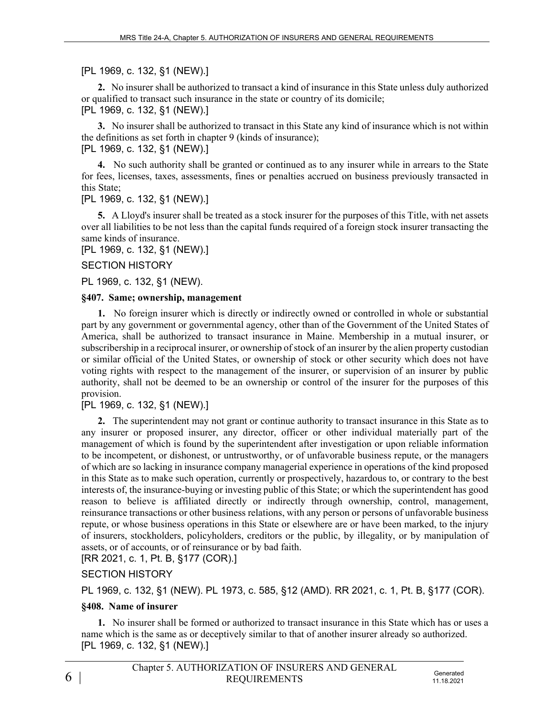### [PL 1969, c. 132, §1 (NEW).]

**2.** No insurer shall be authorized to transact a kind of insurance in this State unless duly authorized or qualified to transact such insurance in the state or country of its domicile;

[PL 1969, c. 132, §1 (NEW).]

**3.** No insurer shall be authorized to transact in this State any kind of insurance which is not within the definitions as set forth in chapter 9 (kinds of insurance);

### [PL 1969, c. 132, §1 (NEW).]

**4.** No such authority shall be granted or continued as to any insurer while in arrears to the State for fees, licenses, taxes, assessments, fines or penalties accrued on business previously transacted in this State;

[PL 1969, c. 132, §1 (NEW).]

**5.** A Lloyd's insurer shall be treated as a stock insurer for the purposes of this Title, with net assets over all liabilities to be not less than the capital funds required of a foreign stock insurer transacting the same kinds of insurance.

[PL 1969, c. 132, §1 (NEW).]

SECTION HISTORY

PL 1969, c. 132, §1 (NEW).

### **§407. Same; ownership, management**

**1.** No foreign insurer which is directly or indirectly owned or controlled in whole or substantial part by any government or governmental agency, other than of the Government of the United States of America, shall be authorized to transact insurance in Maine. Membership in a mutual insurer, or subscribership in a reciprocal insurer, or ownership of stock of an insurer by the alien property custodian or similar official of the United States, or ownership of stock or other security which does not have voting rights with respect to the management of the insurer, or supervision of an insurer by public authority, shall not be deemed to be an ownership or control of the insurer for the purposes of this provision.

## [PL 1969, c. 132, §1 (NEW).]

**2.** The superintendent may not grant or continue authority to transact insurance in this State as to any insurer or proposed insurer, any director, officer or other individual materially part of the management of which is found by the superintendent after investigation or upon reliable information to be incompetent, or dishonest, or untrustworthy, or of unfavorable business repute, or the managers of which are so lacking in insurance company managerial experience in operations of the kind proposed in this State as to make such operation, currently or prospectively, hazardous to, or contrary to the best interests of, the insurance-buying or investing public of this State; or which the superintendent has good reason to believe is affiliated directly or indirectly through ownership, control, management, reinsurance transactions or other business relations, with any person or persons of unfavorable business repute, or whose business operations in this State or elsewhere are or have been marked, to the injury of insurers, stockholders, policyholders, creditors or the public, by illegality, or by manipulation of assets, or of accounts, or of reinsurance or by bad faith.

[RR 2021, c. 1, Pt. B, §177 (COR).]

## SECTION HISTORY

PL 1969, c. 132, §1 (NEW). PL 1973, c. 585, §12 (AMD). RR 2021, c. 1, Pt. B, §177 (COR).

## **§408. Name of insurer**

**1.** No insurer shall be formed or authorized to transact insurance in this State which has or uses a name which is the same as or deceptively similar to that of another insurer already so authorized. [PL 1969, c. 132, §1 (NEW).]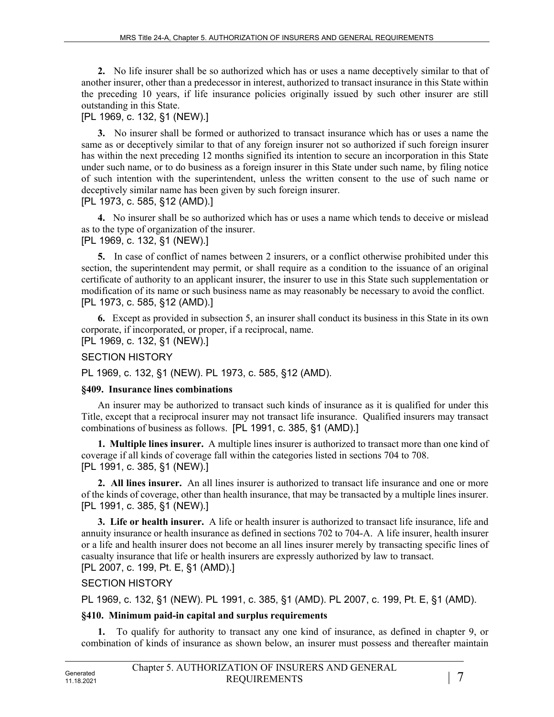**2.** No life insurer shall be so authorized which has or uses a name deceptively similar to that of another insurer, other than a predecessor in interest, authorized to transact insurance in this State within the preceding 10 years, if life insurance policies originally issued by such other insurer are still outstanding in this State.

#### [PL 1969, c. 132, §1 (NEW).]

**3.** No insurer shall be formed or authorized to transact insurance which has or uses a name the same as or deceptively similar to that of any foreign insurer not so authorized if such foreign insurer has within the next preceding 12 months signified its intention to secure an incorporation in this State under such name, or to do business as a foreign insurer in this State under such name, by filing notice of such intention with the superintendent, unless the written consent to the use of such name or deceptively similar name has been given by such foreign insurer. [PL 1973, c. 585, §12 (AMD).]

**4.** No insurer shall be so authorized which has or uses a name which tends to deceive or mislead as to the type of organization of the insurer.

[PL 1969, c. 132, §1 (NEW).]

**5.** In case of conflict of names between 2 insurers, or a conflict otherwise prohibited under this section, the superintendent may permit, or shall require as a condition to the issuance of an original certificate of authority to an applicant insurer, the insurer to use in this State such supplementation or modification of its name or such business name as may reasonably be necessary to avoid the conflict. [PL 1973, c. 585, §12 (AMD).]

**6.** Except as provided in subsection 5, an insurer shall conduct its business in this State in its own corporate, if incorporated, or proper, if a reciprocal, name. [PL 1969, c. 132, §1 (NEW).]

SECTION HISTORY

PL 1969, c. 132, §1 (NEW). PL 1973, c. 585, §12 (AMD).

### **§409. Insurance lines combinations**

An insurer may be authorized to transact such kinds of insurance as it is qualified for under this Title, except that a reciprocal insurer may not transact life insurance. Qualified insurers may transact combinations of business as follows. [PL 1991, c. 385, §1 (AMD).]

**1. Multiple lines insurer.** A multiple lines insurer is authorized to transact more than one kind of coverage if all kinds of coverage fall within the categories listed in sections 704 to 708. [PL 1991, c. 385, §1 (NEW).]

**2. All lines insurer.** An all lines insurer is authorized to transact life insurance and one or more of the kinds of coverage, other than health insurance, that may be transacted by a multiple lines insurer. [PL 1991, c. 385, §1 (NEW).]

**3. Life or health insurer.** A life or health insurer is authorized to transact life insurance, life and annuity insurance or health insurance as defined in sections 702 to 704-A. A life insurer, health insurer or a life and health insurer does not become an all lines insurer merely by transacting specific lines of casualty insurance that life or health insurers are expressly authorized by law to transact. [PL 2007, c. 199, Pt. E, §1 (AMD).]

## SECTION HISTORY

PL 1969, c. 132, §1 (NEW). PL 1991, c. 385, §1 (AMD). PL 2007, c. 199, Pt. E, §1 (AMD).

## **§410. Minimum paid-in capital and surplus requirements**

**1.** To qualify for authority to transact any one kind of insurance, as defined in chapter 9, or combination of kinds of insurance as shown below, an insurer must possess and thereafter maintain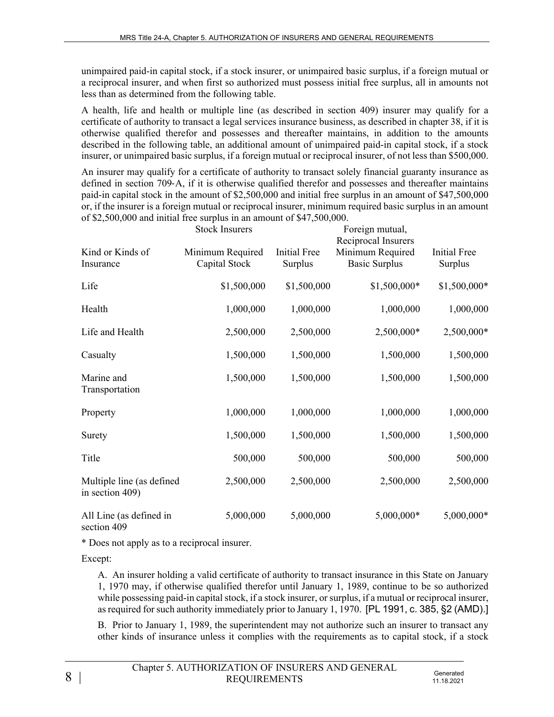unimpaired paid-in capital stock, if a stock insurer, or unimpaired basic surplus, if a foreign mutual or a reciprocal insurer, and when first so authorized must possess initial free surplus, all in amounts not less than as determined from the following table.

A health, life and health or multiple line (as described in section 409) insurer may qualify for a certificate of authority to transact a legal services insurance business, as described in chapter 38, if it is otherwise qualified therefor and possesses and thereafter maintains, in addition to the amounts described in the following table, an additional amount of unimpaired paid-in capital stock, if a stock insurer, or unimpaired basic surplus, if a foreign mutual or reciprocal insurer, of not less than \$500,000.

An insurer may qualify for a certificate of authority to transact solely financial guaranty insurance as defined in section 709‑A, if it is otherwise qualified therefor and possesses and thereafter maintains paid-in capital stock in the amount of \$2,500,000 and initial free surplus in an amount of \$47,500,000 or, if the insurer is a foreign mutual or reciprocal insurer, minimum required basic surplus in an amount of \$2,500,000 and initial free surplus in an amount of \$47,500,000.

|                                              | <b>Stock Insurers</b>             |                                | Foreign mutual,<br>Reciprocal Insurers   |                                |
|----------------------------------------------|-----------------------------------|--------------------------------|------------------------------------------|--------------------------------|
| Kind or Kinds of<br>Insurance                | Minimum Required<br>Capital Stock | <b>Initial Free</b><br>Surplus | Minimum Required<br><b>Basic Surplus</b> | <b>Initial Free</b><br>Surplus |
| Life                                         | \$1,500,000                       | \$1,500,000                    | \$1,500,000*                             | \$1,500,000*                   |
| Health                                       | 1,000,000                         | 1,000,000                      | 1,000,000                                | 1,000,000                      |
| Life and Health                              | 2,500,000                         | 2,500,000                      | 2,500,000*                               | 2,500,000*                     |
| Casualty                                     | 1,500,000                         | 1,500,000                      | 1,500,000                                | 1,500,000                      |
| Marine and<br>Transportation                 | 1,500,000                         | 1,500,000                      | 1,500,000                                | 1,500,000                      |
| Property                                     | 1,000,000                         | 1,000,000                      | 1,000,000                                | 1,000,000                      |
| Surety                                       | 1,500,000                         | 1,500,000                      | 1,500,000                                | 1,500,000                      |
| Title                                        | 500,000                           | 500,000                        | 500,000                                  | 500,000                        |
| Multiple line (as defined<br>in section 409) | 2,500,000                         | 2,500,000                      | 2,500,000                                | 2,500,000                      |
| All Line (as defined in<br>section 409       | 5,000,000                         | 5,000,000                      | 5,000,000*                               | 5,000,000*                     |

\* Does not apply as to a reciprocal insurer.

Except:

A. An insurer holding a valid certificate of authority to transact insurance in this State on January 1, 1970 may, if otherwise qualified therefor until January 1, 1989, continue to be so authorized while possessing paid-in capital stock, if a stock insurer, or surplus, if a mutual or reciprocal insurer, as required for such authority immediately prior to January 1, 1970. [PL 1991, c. 385, §2 (AMD).]

B. Prior to January 1, 1989, the superintendent may not authorize such an insurer to transact any other kinds of insurance unless it complies with the requirements as to capital stock, if a stock

| Chapter 5. AUTHORIZATION OF INSURERS AND GENERAL |                         |
|--------------------------------------------------|-------------------------|
| <b>REQUIREMENTS</b>                              | Generated<br>11.18.2021 |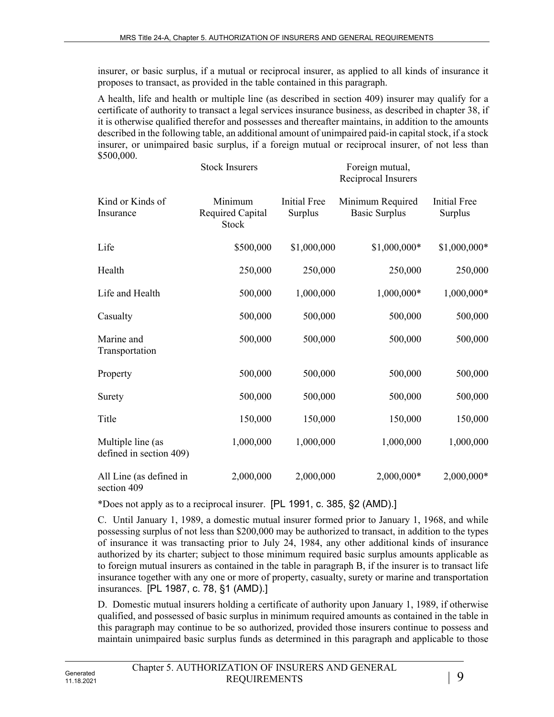insurer, or basic surplus, if a mutual or reciprocal insurer, as applied to all kinds of insurance it proposes to transact, as provided in the table contained in this paragraph.

A health, life and health or multiple line (as described in section 409) insurer may qualify for a certificate of authority to transact a legal services insurance business, as described in chapter 38, if it is otherwise qualified therefor and possesses and thereafter maintains, in addition to the amounts described in the following table, an additional amount of unimpaired paid-in capital stock, if a stock insurer, or unimpaired basic surplus, if a foreign mutual or reciprocal insurer, of not less than \$500,000.

|                                              | <b>Stock Insurers</b>                       |                                | Foreign mutual,<br>Reciprocal Insurers   |                                       |
|----------------------------------------------|---------------------------------------------|--------------------------------|------------------------------------------|---------------------------------------|
| Kind or Kinds of<br>Insurance                | Minimum<br><b>Required Capital</b><br>Stock | <b>Initial Free</b><br>Surplus | Minimum Required<br><b>Basic Surplus</b> | <b>Initial Free</b><br><b>Surplus</b> |
| Life                                         | \$500,000                                   | \$1,000,000                    | \$1,000,000*                             | \$1,000,000*                          |
| Health                                       | 250,000                                     | 250,000                        | 250,000                                  | 250,000                               |
| Life and Health                              | 500,000                                     | 1,000,000                      | 1,000,000*                               | 1,000,000*                            |
| Casualty                                     | 500,000                                     | 500,000                        | 500,000                                  | 500,000                               |
| Marine and<br>Transportation                 | 500,000                                     | 500,000                        | 500,000                                  | 500,000                               |
| Property                                     | 500,000                                     | 500,000                        | 500,000                                  | 500,000                               |
| Surety                                       | 500,000                                     | 500,000                        | 500,000                                  | 500,000                               |
| Title                                        | 150,000                                     | 150,000                        | 150,000                                  | 150,000                               |
| Multiple line (as<br>defined in section 409) | 1,000,000                                   | 1,000,000                      | 1,000,000                                | 1,000,000                             |
| All Line (as defined in<br>section 409       | 2,000,000                                   | 2,000,000                      | 2,000,000*                               | 2,000,000*                            |

\*Does not apply as to a reciprocal insurer. [PL 1991, c. 385, §2 (AMD).]

C. Until January 1, 1989, a domestic mutual insurer formed prior to January 1, 1968, and while possessing surplus of not less than \$200,000 may be authorized to transact, in addition to the types of insurance it was transacting prior to July 24, 1984, any other additional kinds of insurance authorized by its charter; subject to those minimum required basic surplus amounts applicable as to foreign mutual insurers as contained in the table in paragraph B, if the insurer is to transact life insurance together with any one or more of property, casualty, surety or marine and transportation insurances. [PL 1987, c. 78, §1 (AMD).]

D. Domestic mutual insurers holding a certificate of authority upon January 1, 1989, if otherwise qualified, and possessed of basic surplus in minimum required amounts as contained in the table in this paragraph may continue to be so authorized, provided those insurers continue to possess and maintain unimpaired basic surplus funds as determined in this paragraph and applicable to those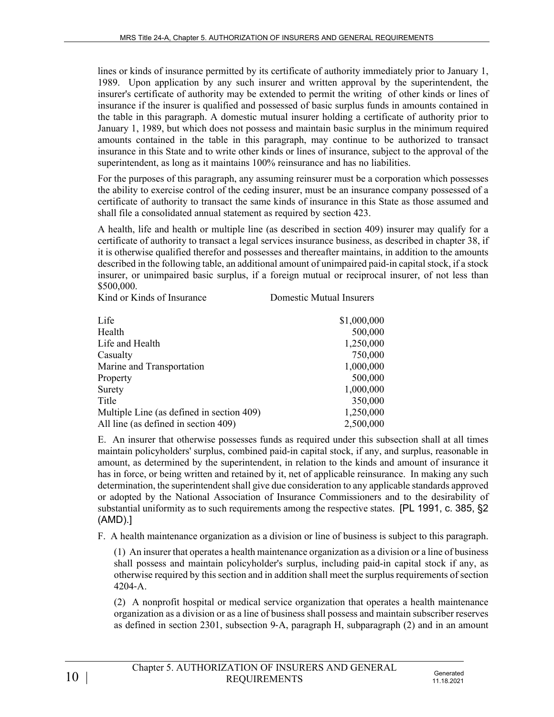lines or kinds of insurance permitted by its certificate of authority immediately prior to January 1, 1989. Upon application by any such insurer and written approval by the superintendent, the insurer's certificate of authority may be extended to permit the writing of other kinds or lines of insurance if the insurer is qualified and possessed of basic surplus funds in amounts contained in the table in this paragraph. A domestic mutual insurer holding a certificate of authority prior to January 1, 1989, but which does not possess and maintain basic surplus in the minimum required amounts contained in the table in this paragraph, may continue to be authorized to transact insurance in this State and to write other kinds or lines of insurance, subject to the approval of the superintendent, as long as it maintains 100% reinsurance and has no liabilities.

For the purposes of this paragraph, any assuming reinsurer must be a corporation which possesses the ability to exercise control of the ceding insurer, must be an insurance company possessed of a certificate of authority to transact the same kinds of insurance in this State as those assumed and shall file a consolidated annual statement as required by section 423.

A health, life and health or multiple line (as described in section 409) insurer may qualify for a certificate of authority to transact a legal services insurance business, as described in chapter 38, if it is otherwise qualified therefor and possesses and thereafter maintains, in addition to the amounts described in the following table, an additional amount of unimpaired paid-in capital stock, if a stock insurer, or unimpaired basic surplus, if a foreign mutual or reciprocal insurer, of not less than \$500,000.

| Kind or Kinds of Insurance                | Domestic Mutual Insurers |
|-------------------------------------------|--------------------------|
| Life                                      | \$1,000,000              |
| Health                                    | 500,000                  |
| Life and Health                           | 1,250,000                |
| Casualty                                  | 750,000                  |
| Marine and Transportation                 | 1,000,000                |
| Property                                  | 500,000                  |
| Surety                                    | 1,000,000                |
| Title                                     | 350,000                  |
| Multiple Line (as defined in section 409) | 1,250,000                |
| All line (as defined in section 409)      | 2,500,000                |

E. An insurer that otherwise possesses funds as required under this subsection shall at all times maintain policyholders' surplus, combined paid-in capital stock, if any, and surplus, reasonable in amount, as determined by the superintendent, in relation to the kinds and amount of insurance it has in force, or being written and retained by it, net of applicable reinsurance. In making any such determination, the superintendent shall give due consideration to any applicable standards approved or adopted by the National Association of Insurance Commissioners and to the desirability of substantial uniformity as to such requirements among the respective states. [PL 1991, c. 385, §2 (AMD).]

F. A health maintenance organization as a division or line of business is subject to this paragraph.

(1) An insurer that operates a health maintenance organization as a division or a line of business shall possess and maintain policyholder's surplus, including paid-in capital stock if any, as otherwise required by this section and in addition shall meet the surplus requirements of section 4204‑A.

(2) A nonprofit hospital or medical service organization that operates a health maintenance organization as a division or as a line of business shall possess and maintain subscriber reserves as defined in section 2301, subsection 9‑A, paragraph H, subparagraph (2) and in an amount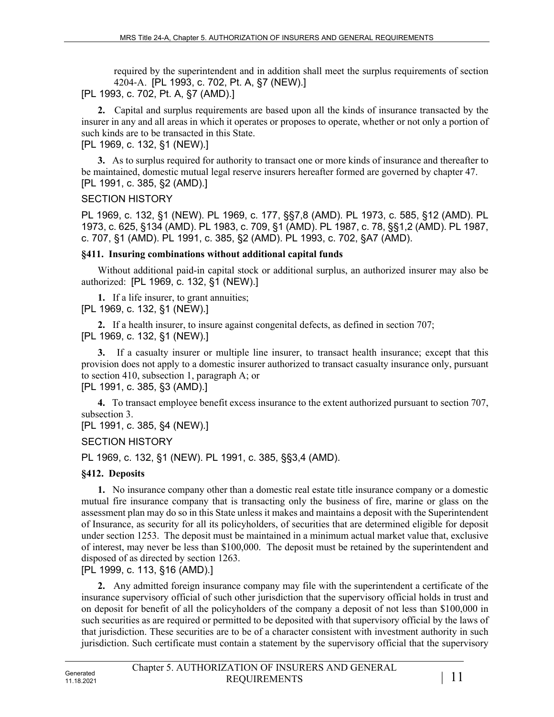required by the superintendent and in addition shall meet the surplus requirements of section 4204‑A. [PL 1993, c. 702, Pt. A, §7 (NEW).]

[PL 1993, c. 702, Pt. A, §7 (AMD).]

**2.** Capital and surplus requirements are based upon all the kinds of insurance transacted by the insurer in any and all areas in which it operates or proposes to operate, whether or not only a portion of such kinds are to be transacted in this State.

[PL 1969, c. 132, §1 (NEW).]

**3.** As to surplus required for authority to transact one or more kinds of insurance and thereafter to be maintained, domestic mutual legal reserve insurers hereafter formed are governed by chapter 47. [PL 1991, c. 385, §2 (AMD).]

### SECTION HISTORY

PL 1969, c. 132, §1 (NEW). PL 1969, c. 177, §§7,8 (AMD). PL 1973, c. 585, §12 (AMD). PL 1973, c. 625, §134 (AMD). PL 1983, c. 709, §1 (AMD). PL 1987, c. 78, §§1,2 (AMD). PL 1987, c. 707, §1 (AMD). PL 1991, c. 385, §2 (AMD). PL 1993, c. 702, §A7 (AMD).

### **§411. Insuring combinations without additional capital funds**

Without additional paid-in capital stock or additional surplus, an authorized insurer may also be authorized: [PL 1969, c. 132, §1 (NEW).]

**1.** If a life insurer, to grant annuities; [PL 1969, c. 132, §1 (NEW).]

**2.** If a health insurer, to insure against congenital defects, as defined in section 707; [PL 1969, c. 132, §1 (NEW).]

**3.** If a casualty insurer or multiple line insurer, to transact health insurance; except that this provision does not apply to a domestic insurer authorized to transact casualty insurance only, pursuant to section 410, subsection 1, paragraph A; or

[PL 1991, c. 385, §3 (AMD).]

**4.** To transact employee benefit excess insurance to the extent authorized pursuant to section 707, subsection 3.

[PL 1991, c. 385, §4 (NEW).]

SECTION HISTORY

PL 1969, c. 132, §1 (NEW). PL 1991, c. 385, §§3,4 (AMD).

## **§412. Deposits**

**1.** No insurance company other than a domestic real estate title insurance company or a domestic mutual fire insurance company that is transacting only the business of fire, marine or glass on the assessment plan may do so in this State unless it makes and maintains a deposit with the Superintendent of Insurance, as security for all its policyholders, of securities that are determined eligible for deposit under section 1253. The deposit must be maintained in a minimum actual market value that, exclusive of interest, may never be less than \$100,000. The deposit must be retained by the superintendent and disposed of as directed by section 1263.

[PL 1999, c. 113, §16 (AMD).]

**2.** Any admitted foreign insurance company may file with the superintendent a certificate of the insurance supervisory official of such other jurisdiction that the supervisory official holds in trust and on deposit for benefit of all the policyholders of the company a deposit of not less than \$100,000 in such securities as are required or permitted to be deposited with that supervisory official by the laws of that jurisdiction. These securities are to be of a character consistent with investment authority in such jurisdiction. Such certificate must contain a statement by the supervisory official that the supervisory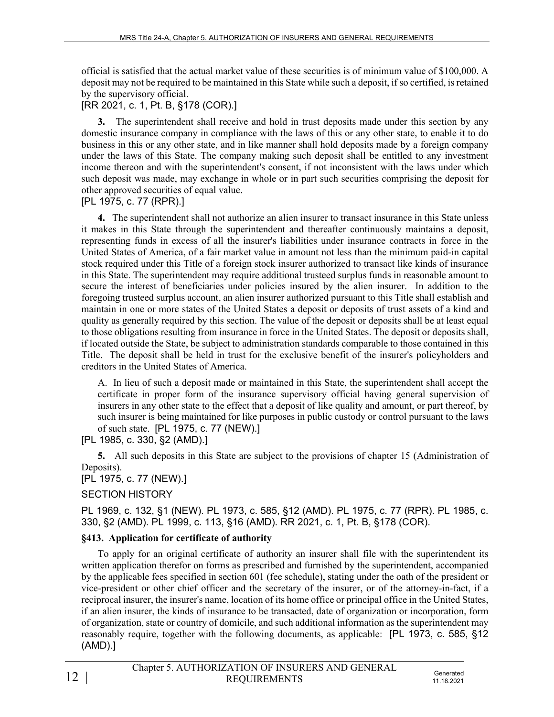official is satisfied that the actual market value of these securities is of minimum value of \$100,000. A deposit may not be required to be maintained in this State while such a deposit, if so certified, is retained by the supervisory official.

# [RR 2021, c. 1, Pt. B, §178 (COR).]

**3.** The superintendent shall receive and hold in trust deposits made under this section by any domestic insurance company in compliance with the laws of this or any other state, to enable it to do business in this or any other state, and in like manner shall hold deposits made by a foreign company under the laws of this State. The company making such deposit shall be entitled to any investment income thereon and with the superintendent's consent, if not inconsistent with the laws under which such deposit was made, may exchange in whole or in part such securities comprising the deposit for other approved securities of equal value.

[PL 1975, c. 77 (RPR).]

**4.** The superintendent shall not authorize an alien insurer to transact insurance in this State unless it makes in this State through the superintendent and thereafter continuously maintains a deposit, representing funds in excess of all the insurer's liabilities under insurance contracts in force in the United States of America, of a fair market value in amount not less than the minimum paid-in capital stock required under this Title of a foreign stock insurer authorized to transact like kinds of insurance in this State. The superintendent may require additional trusteed surplus funds in reasonable amount to secure the interest of beneficiaries under policies insured by the alien insurer. In addition to the foregoing trusteed surplus account, an alien insurer authorized pursuant to this Title shall establish and maintain in one or more states of the United States a deposit or deposits of trust assets of a kind and quality as generally required by this section. The value of the deposit or deposits shall be at least equal to those obligations resulting from insurance in force in the United States. The deposit or deposits shall, if located outside the State, be subject to administration standards comparable to those contained in this Title. The deposit shall be held in trust for the exclusive benefit of the insurer's policyholders and creditors in the United States of America.

A. In lieu of such a deposit made or maintained in this State, the superintendent shall accept the certificate in proper form of the insurance supervisory official having general supervision of insurers in any other state to the effect that a deposit of like quality and amount, or part thereof, by such insurer is being maintained for like purposes in public custody or control pursuant to the laws of such state. [PL 1975, c. 77 (NEW).]

[PL 1985, c. 330, §2 (AMD).]

**5.** All such deposits in this State are subject to the provisions of chapter 15 (Administration of Deposits).

## [PL 1975, c. 77 (NEW).]

## SECTION HISTORY

PL 1969, c. 132, §1 (NEW). PL 1973, c. 585, §12 (AMD). PL 1975, c. 77 (RPR). PL 1985, c. 330, §2 (AMD). PL 1999, c. 113, §16 (AMD). RR 2021, c. 1, Pt. B, §178 (COR).

# **§413. Application for certificate of authority**

To apply for an original certificate of authority an insurer shall file with the superintendent its written application therefor on forms as prescribed and furnished by the superintendent, accompanied by the applicable fees specified in section 601 (fee schedule), stating under the oath of the president or vice-president or other chief officer and the secretary of the insurer, or of the attorney-in-fact, if a reciprocal insurer, the insurer's name, location of its home office or principal office in the United States, if an alien insurer, the kinds of insurance to be transacted, date of organization or incorporation, form of organization, state or country of domicile, and such additional information as the superintendent may reasonably require, together with the following documents, as applicable: [PL 1973, c. 585, §12 (AMD).]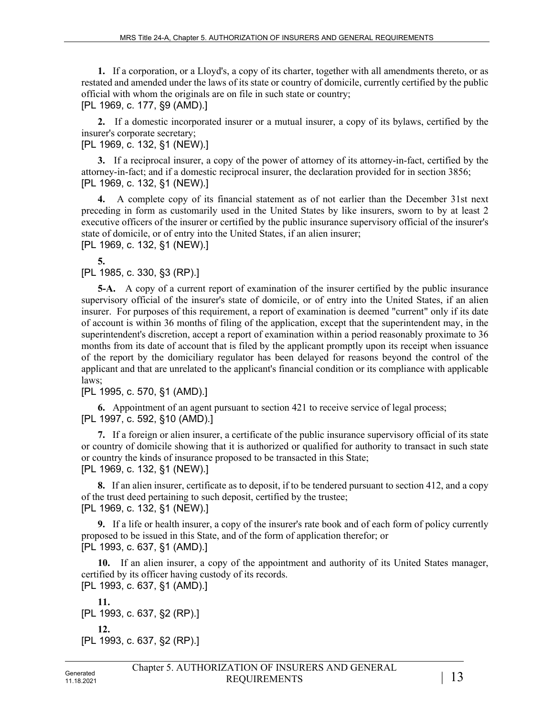**1.** If a corporation, or a Lloyd's, a copy of its charter, together with all amendments thereto, or as restated and amended under the laws of its state or country of domicile, currently certified by the public official with whom the originals are on file in such state or country; [PL 1969, c. 177, §9 (AMD).]

**2.** If a domestic incorporated insurer or a mutual insurer, a copy of its bylaws, certified by the insurer's corporate secretary;

[PL 1969, c. 132, §1 (NEW).]

**3.** If a reciprocal insurer, a copy of the power of attorney of its attorney-in-fact, certified by the attorney-in-fact; and if a domestic reciprocal insurer, the declaration provided for in section 3856; [PL 1969, c. 132, §1 (NEW).]

**4.** A complete copy of its financial statement as of not earlier than the December 31st next preceding in form as customarily used in the United States by like insurers, sworn to by at least 2 executive officers of the insurer or certified by the public insurance supervisory official of the insurer's state of domicile, or of entry into the United States, if an alien insurer;

[PL 1969, c. 132, §1 (NEW).]

**5.** 

[PL 1985, c. 330, §3 (RP).]

**5-A.** A copy of a current report of examination of the insurer certified by the public insurance supervisory official of the insurer's state of domicile, or of entry into the United States, if an alien insurer. For purposes of this requirement, a report of examination is deemed "current" only if its date of account is within 36 months of filing of the application, except that the superintendent may, in the superintendent's discretion, accept a report of examination within a period reasonably proximate to 36 months from its date of account that is filed by the applicant promptly upon its receipt when issuance of the report by the domiciliary regulator has been delayed for reasons beyond the control of the applicant and that are unrelated to the applicant's financial condition or its compliance with applicable laws;

[PL 1995, c. 570, §1 (AMD).]

**6.** Appointment of an agent pursuant to section 421 to receive service of legal process; [PL 1997, c. 592, §10 (AMD).]

**7.** If a foreign or alien insurer, a certificate of the public insurance supervisory official of its state or country of domicile showing that it is authorized or qualified for authority to transact in such state or country the kinds of insurance proposed to be transacted in this State; [PL 1969, c. 132, §1 (NEW).]

**8.** If an alien insurer, certificate as to deposit, if to be tendered pursuant to section 412, and a copy of the trust deed pertaining to such deposit, certified by the trustee; [PL 1969, c. 132, §1 (NEW).]

**9.** If a life or health insurer, a copy of the insurer's rate book and of each form of policy currently proposed to be issued in this State, and of the form of application therefor; or [PL 1993, c. 637, §1 (AMD).]

**10.** If an alien insurer, a copy of the appointment and authority of its United States manager, certified by its officer having custody of its records.

[PL 1993, c. 637, §1 (AMD).]

**11.**  [PL 1993, c. 637, §2 (RP).] **12.**  [PL 1993, c. 637, §2 (RP).]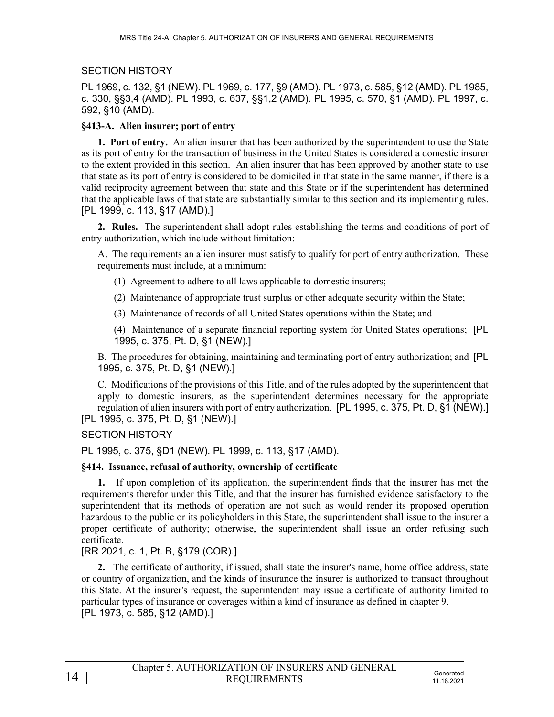#### SECTION HISTORY

PL 1969, c. 132, §1 (NEW). PL 1969, c. 177, §9 (AMD). PL 1973, c. 585, §12 (AMD). PL 1985, c. 330, §§3,4 (AMD). PL 1993, c. 637, §§1,2 (AMD). PL 1995, c. 570, §1 (AMD). PL 1997, c. 592, §10 (AMD).

#### **§413-A. Alien insurer; port of entry**

**1. Port of entry.** An alien insurer that has been authorized by the superintendent to use the State as its port of entry for the transaction of business in the United States is considered a domestic insurer to the extent provided in this section. An alien insurer that has been approved by another state to use that state as its port of entry is considered to be domiciled in that state in the same manner, if there is a valid reciprocity agreement between that state and this State or if the superintendent has determined that the applicable laws of that state are substantially similar to this section and its implementing rules. [PL 1999, c. 113, §17 (AMD).]

**2. Rules.** The superintendent shall adopt rules establishing the terms and conditions of port of entry authorization, which include without limitation:

A. The requirements an alien insurer must satisfy to qualify for port of entry authorization. These requirements must include, at a minimum:

(1) Agreement to adhere to all laws applicable to domestic insurers;

(2) Maintenance of appropriate trust surplus or other adequate security within the State;

(3) Maintenance of records of all United States operations within the State; and

(4) Maintenance of a separate financial reporting system for United States operations; [PL 1995, c. 375, Pt. D, §1 (NEW).]

B. The procedures for obtaining, maintaining and terminating port of entry authorization; and [PL 1995, c. 375, Pt. D, §1 (NEW).]

C. Modifications of the provisions of this Title, and of the rules adopted by the superintendent that apply to domestic insurers, as the superintendent determines necessary for the appropriate regulation of alien insurers with port of entry authorization. [PL 1995, c. 375, Pt. D, §1 (NEW).] [PL 1995, c. 375, Pt. D, §1 (NEW).]

SECTION HISTORY

PL 1995, c. 375, §D1 (NEW). PL 1999, c. 113, §17 (AMD).

### **§414. Issuance, refusal of authority, ownership of certificate**

**1.** If upon completion of its application, the superintendent finds that the insurer has met the requirements therefor under this Title, and that the insurer has furnished evidence satisfactory to the superintendent that its methods of operation are not such as would render its proposed operation hazardous to the public or its policyholders in this State, the superintendent shall issue to the insurer a proper certificate of authority; otherwise, the superintendent shall issue an order refusing such certificate.

### [RR 2021, c. 1, Pt. B, §179 (COR).]

**2.** The certificate of authority, if issued, shall state the insurer's name, home office address, state or country of organization, and the kinds of insurance the insurer is authorized to transact throughout this State. At the insurer's request, the superintendent may issue a certificate of authority limited to particular types of insurance or coverages within a kind of insurance as defined in chapter 9. [PL 1973, c. 585, §12 (AMD).]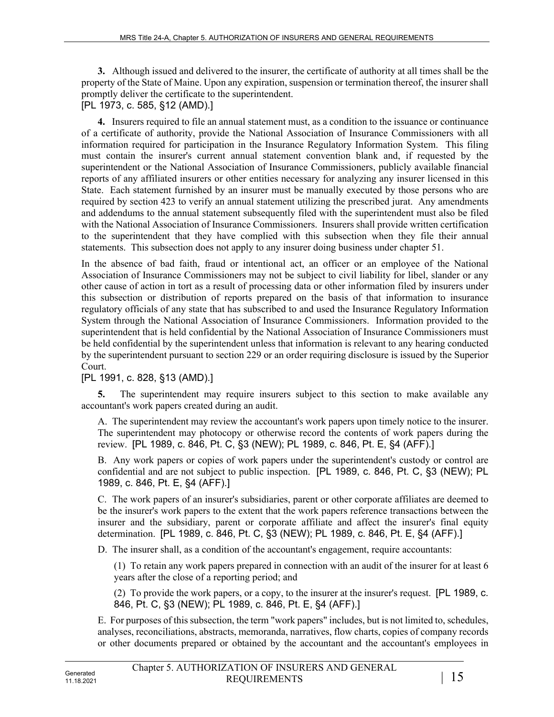**3.** Although issued and delivered to the insurer, the certificate of authority at all times shall be the property of the State of Maine. Upon any expiration, suspension or termination thereof, the insurer shall promptly deliver the certificate to the superintendent.

[PL 1973, c. 585, §12 (AMD).]

**4.** Insurers required to file an annual statement must, as a condition to the issuance or continuance of a certificate of authority, provide the National Association of Insurance Commissioners with all information required for participation in the Insurance Regulatory Information System. This filing must contain the insurer's current annual statement convention blank and, if requested by the superintendent or the National Association of Insurance Commissioners, publicly available financial reports of any affiliated insurers or other entities necessary for analyzing any insurer licensed in this State. Each statement furnished by an insurer must be manually executed by those persons who are required by section 423 to verify an annual statement utilizing the prescribed jurat. Any amendments and addendums to the annual statement subsequently filed with the superintendent must also be filed with the National Association of Insurance Commissioners. Insurers shall provide written certification to the superintendent that they have complied with this subsection when they file their annual statements. This subsection does not apply to any insurer doing business under chapter 51.

In the absence of bad faith, fraud or intentional act, an officer or an employee of the National Association of Insurance Commissioners may not be subject to civil liability for libel, slander or any other cause of action in tort as a result of processing data or other information filed by insurers under this subsection or distribution of reports prepared on the basis of that information to insurance regulatory officials of any state that has subscribed to and used the Insurance Regulatory Information System through the National Association of Insurance Commissioners. Information provided to the superintendent that is held confidential by the National Association of Insurance Commissioners must be held confidential by the superintendent unless that information is relevant to any hearing conducted by the superintendent pursuant to section 229 or an order requiring disclosure is issued by the Superior Court.

## [PL 1991, c. 828, §13 (AMD).]

**5.** The superintendent may require insurers subject to this section to make available any accountant's work papers created during an audit.

A. The superintendent may review the accountant's work papers upon timely notice to the insurer. The superintendent may photocopy or otherwise record the contents of work papers during the review. [PL 1989, c. 846, Pt. C, §3 (NEW); PL 1989, c. 846, Pt. E, §4 (AFF).]

B. Any work papers or copies of work papers under the superintendent's custody or control are confidential and are not subject to public inspection. [PL 1989, c. 846, Pt. C, §3 (NEW); PL 1989, c. 846, Pt. E, §4 (AFF).]

C. The work papers of an insurer's subsidiaries, parent or other corporate affiliates are deemed to be the insurer's work papers to the extent that the work papers reference transactions between the insurer and the subsidiary, parent or corporate affiliate and affect the insurer's final equity determination. [PL 1989, c. 846, Pt. C, §3 (NEW); PL 1989, c. 846, Pt. E, §4 (AFF).]

D. The insurer shall, as a condition of the accountant's engagement, require accountants:

(1) To retain any work papers prepared in connection with an audit of the insurer for at least 6 years after the close of a reporting period; and

(2) To provide the work papers, or a copy, to the insurer at the insurer's request. [PL 1989, c. 846, Pt. C, §3 (NEW); PL 1989, c. 846, Pt. E, §4 (AFF).]

E. For purposes of this subsection, the term "work papers" includes, but is not limited to, schedules, analyses, reconciliations, abstracts, memoranda, narratives, flow charts, copies of company records or other documents prepared or obtained by the accountant and the accountant's employees in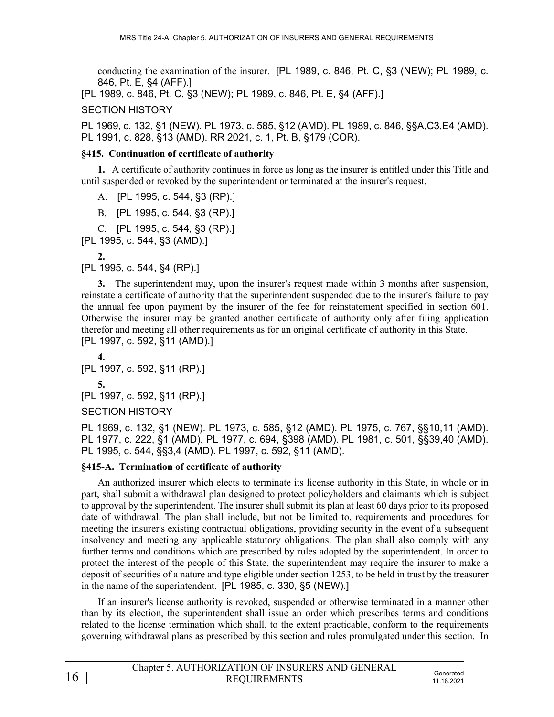conducting the examination of the insurer. [PL 1989, c. 846, Pt. C, §3 (NEW); PL 1989, c. 846, Pt. E, §4 (AFF).]

[PL 1989, c. 846, Pt. C, §3 (NEW); PL 1989, c. 846, Pt. E, §4 (AFF).]

SECTION HISTORY

PL 1969, c. 132, §1 (NEW). PL 1973, c. 585, §12 (AMD). PL 1989, c. 846, §§A,C3,E4 (AMD). PL 1991, c. 828, §13 (AMD). RR 2021, c. 1, Pt. B, §179 (COR).

### **§415. Continuation of certificate of authority**

**1.** A certificate of authority continues in force as long as the insurer is entitled under this Title and until suspended or revoked by the superintendent or terminated at the insurer's request.

A. [PL 1995, c. 544, §3 (RP).]

B. [PL 1995, c. 544, §3 (RP).]

C. [PL 1995, c. 544, §3 (RP).]

[PL 1995, c. 544, §3 (AMD).]

**2.** 

[PL 1995, c. 544, §4 (RP).]

**3.** The superintendent may, upon the insurer's request made within 3 months after suspension, reinstate a certificate of authority that the superintendent suspended due to the insurer's failure to pay the annual fee upon payment by the insurer of the fee for reinstatement specified in section 601. Otherwise the insurer may be granted another certificate of authority only after filing application therefor and meeting all other requirements as for an original certificate of authority in this State. [PL 1997, c. 592, §11 (AMD).]

**4.**  [PL 1997, c. 592, §11 (RP).] **5.**  [PL 1997, c. 592, §11 (RP).] SECTION HISTORY

PL 1969, c. 132, §1 (NEW). PL 1973, c. 585, §12 (AMD). PL 1975, c. 767, §§10,11 (AMD). PL 1977, c. 222, §1 (AMD). PL 1977, c. 694, §398 (AMD). PL 1981, c. 501, §§39,40 (AMD). PL 1995, c. 544, §§3,4 (AMD). PL 1997, c. 592, §11 (AMD).

## **§415-A. Termination of certificate of authority**

An authorized insurer which elects to terminate its license authority in this State, in whole or in part, shall submit a withdrawal plan designed to protect policyholders and claimants which is subject to approval by the superintendent. The insurer shall submit its plan at least 60 days prior to its proposed date of withdrawal. The plan shall include, but not be limited to, requirements and procedures for meeting the insurer's existing contractual obligations, providing security in the event of a subsequent insolvency and meeting any applicable statutory obligations. The plan shall also comply with any further terms and conditions which are prescribed by rules adopted by the superintendent. In order to protect the interest of the people of this State, the superintendent may require the insurer to make a deposit of securities of a nature and type eligible under section 1253, to be held in trust by the treasurer in the name of the superintendent. [PL 1985, c. 330, §5 (NEW).]

If an insurer's license authority is revoked, suspended or otherwise terminated in a manner other than by its election, the superintendent shall issue an order which prescribes terms and conditions related to the license termination which shall, to the extent practicable, conform to the requirements governing withdrawal plans as prescribed by this section and rules promulgated under this section. In

11.18.2021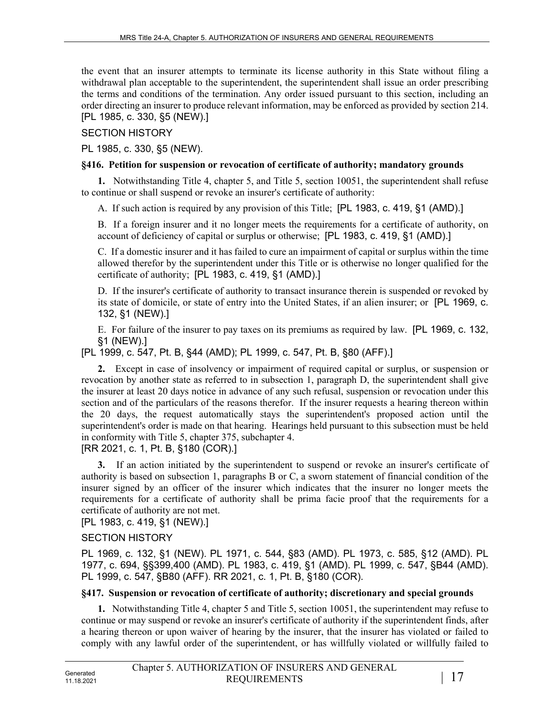the event that an insurer attempts to terminate its license authority in this State without filing a withdrawal plan acceptable to the superintendent, the superintendent shall issue an order prescribing the terms and conditions of the termination. Any order issued pursuant to this section, including an order directing an insurer to produce relevant information, may be enforced as provided by section 214. [PL 1985, c. 330, §5 (NEW).]

#### SECTION HISTORY

PL 1985, c. 330, §5 (NEW).

#### **§416. Petition for suspension or revocation of certificate of authority; mandatory grounds**

**1.** Notwithstanding Title 4, chapter 5, and Title 5, section 10051, the superintendent shall refuse to continue or shall suspend or revoke an insurer's certificate of authority:

A. If such action is required by any provision of this Title; [PL 1983, c. 419, §1 (AMD).]

B. If a foreign insurer and it no longer meets the requirements for a certificate of authority, on account of deficiency of capital or surplus or otherwise; [PL 1983, c. 419, §1 (AMD).]

C. If a domestic insurer and it has failed to cure an impairment of capital or surplus within the time allowed therefor by the superintendent under this Title or is otherwise no longer qualified for the certificate of authority; [PL 1983, c. 419, §1 (AMD).]

D. If the insurer's certificate of authority to transact insurance therein is suspended or revoked by its state of domicile, or state of entry into the United States, if an alien insurer; or [PL 1969, c. 132, §1 (NEW).]

E. For failure of the insurer to pay taxes on its premiums as required by law. [PL 1969, c. 132, §1 (NEW).]

[PL 1999, c. 547, Pt. B, §44 (AMD); PL 1999, c. 547, Pt. B, §80 (AFF).]

**2.** Except in case of insolvency or impairment of required capital or surplus, or suspension or revocation by another state as referred to in subsection 1, paragraph D, the superintendent shall give the insurer at least 20 days notice in advance of any such refusal, suspension or revocation under this section and of the particulars of the reasons therefor. If the insurer requests a hearing thereon within the 20 days, the request automatically stays the superintendent's proposed action until the superintendent's order is made on that hearing. Hearings held pursuant to this subsection must be held in conformity with Title 5, chapter 375, subchapter 4.

[RR 2021, c. 1, Pt. B, §180 (COR).]

**3.** If an action initiated by the superintendent to suspend or revoke an insurer's certificate of authority is based on subsection 1, paragraphs B or C, a sworn statement of financial condition of the insurer signed by an officer of the insurer which indicates that the insurer no longer meets the requirements for a certificate of authority shall be prima facie proof that the requirements for a certificate of authority are not met.

[PL 1983, c. 419, §1 (NEW).]

### SECTION HISTORY

PL 1969, c. 132, §1 (NEW). PL 1971, c. 544, §83 (AMD). PL 1973, c. 585, §12 (AMD). PL 1977, c. 694, §§399,400 (AMD). PL 1983, c. 419, §1 (AMD). PL 1999, c. 547, §B44 (AMD). PL 1999, c. 547, §B80 (AFF). RR 2021, c. 1, Pt. B, §180 (COR).

### **§417. Suspension or revocation of certificate of authority; discretionary and special grounds**

**1.** Notwithstanding Title 4, chapter 5 and Title 5, section 10051, the superintendent may refuse to continue or may suspend or revoke an insurer's certificate of authority if the superintendent finds, after a hearing thereon or upon waiver of hearing by the insurer, that the insurer has violated or failed to comply with any lawful order of the superintendent, or has willfully violated or willfully failed to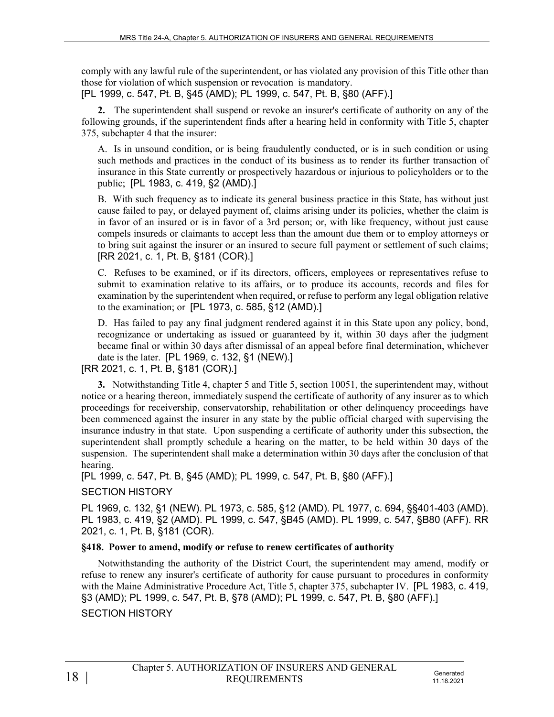comply with any lawful rule of the superintendent, or has violated any provision of this Title other than those for violation of which suspension or revocation is mandatory. [PL 1999, c. 547, Pt. B, §45 (AMD); PL 1999, c. 547, Pt. B, §80 (AFF).]

**2.** The superintendent shall suspend or revoke an insurer's certificate of authority on any of the following grounds, if the superintendent finds after a hearing held in conformity with Title 5, chapter 375, subchapter 4 that the insurer:

A. Is in unsound condition, or is being fraudulently conducted, or is in such condition or using such methods and practices in the conduct of its business as to render its further transaction of insurance in this State currently or prospectively hazardous or injurious to policyholders or to the public; [PL 1983, c. 419, §2 (AMD).]

B. With such frequency as to indicate its general business practice in this State, has without just cause failed to pay, or delayed payment of, claims arising under its policies, whether the claim is in favor of an insured or is in favor of a 3rd person; or, with like frequency, without just cause compels insureds or claimants to accept less than the amount due them or to employ attorneys or to bring suit against the insurer or an insured to secure full payment or settlement of such claims; [RR 2021, c. 1, Pt. B, §181 (COR).]

C. Refuses to be examined, or if its directors, officers, employees or representatives refuse to submit to examination relative to its affairs, or to produce its accounts, records and files for examination by the superintendent when required, or refuse to perform any legal obligation relative to the examination; or [PL 1973, c. 585, §12 (AMD).]

D. Has failed to pay any final judgment rendered against it in this State upon any policy, bond, recognizance or undertaking as issued or guaranteed by it, within 30 days after the judgment became final or within 30 days after dismissal of an appeal before final determination, whichever date is the later. [PL 1969, c. 132, §1 (NEW).]

[RR 2021, c. 1, Pt. B, §181 (COR).]

**3.** Notwithstanding Title 4, chapter 5 and Title 5, section 10051, the superintendent may, without notice or a hearing thereon, immediately suspend the certificate of authority of any insurer as to which proceedings for receivership, conservatorship, rehabilitation or other delinquency proceedings have been commenced against the insurer in any state by the public official charged with supervising the insurance industry in that state. Upon suspending a certificate of authority under this subsection, the superintendent shall promptly schedule a hearing on the matter, to be held within 30 days of the suspension. The superintendent shall make a determination within 30 days after the conclusion of that hearing.

[PL 1999, c. 547, Pt. B, §45 (AMD); PL 1999, c. 547, Pt. B, §80 (AFF).]

## SECTION HISTORY

PL 1969, c. 132, §1 (NEW). PL 1973, c. 585, §12 (AMD). PL 1977, c. 694, §§401-403 (AMD). PL 1983, c. 419, §2 (AMD). PL 1999, c. 547, §B45 (AMD). PL 1999, c. 547, §B80 (AFF). RR 2021, c. 1, Pt. B, §181 (COR).

## **§418. Power to amend, modify or refuse to renew certificates of authority**

Notwithstanding the authority of the District Court, the superintendent may amend, modify or refuse to renew any insurer's certificate of authority for cause pursuant to procedures in conformity with the Maine Administrative Procedure Act, Title 5, chapter 375, subchapter IV. [PL 1983, c. 419, §3 (AMD); PL 1999, c. 547, Pt. B, §78 (AMD); PL 1999, c. 547, Pt. B, §80 (AFF).]

SECTION HISTORY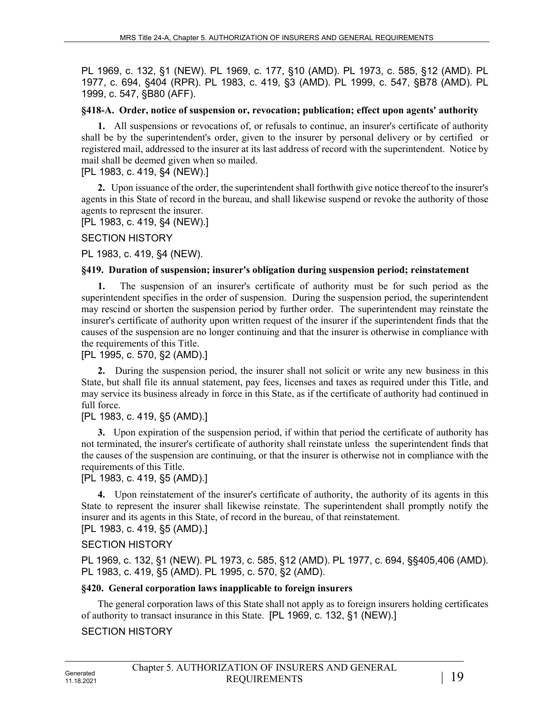PL 1969, c. 132, §1 (NEW). PL 1969, c. 177, §10 (AMD). PL 1973, c. 585, §12 (AMD). PL 1977, c. 694, §404 (RPR). PL 1983, c. 419, §3 (AMD). PL 1999, c. 547, §B78 (AMD). PL 1999, c. 547, §B80 (AFF).

#### **§418-A. Order, notice of suspension or, revocation; publication; effect upon agents' authority**

**1.** All suspensions or revocations of, or refusals to continue, an insurer's certificate of authority shall be by the superintendent's order, given to the insurer by personal delivery or by certified or registered mail, addressed to the insurer at its last address of record with the superintendent. Notice by mail shall be deemed given when so mailed.

[PL 1983, c. 419, §4 (NEW).]

**2.** Upon issuance of the order, the superintendent shall forthwith give notice thereof to the insurer's agents in this State of record in the bureau, and shall likewise suspend or revoke the authority of those agents to represent the insurer.

[PL 1983, c. 419, §4 (NEW).]

SECTION HISTORY

PL 1983, c. 419, §4 (NEW).

#### **§419. Duration of suspension; insurer's obligation during suspension period; reinstatement**

**1.** The suspension of an insurer's certificate of authority must be for such period as the superintendent specifies in the order of suspension. During the suspension period, the superintendent may rescind or shorten the suspension period by further order. The superintendent may reinstate the insurer's certificate of authority upon written request of the insurer if the superintendent finds that the causes of the suspension are no longer continuing and that the insurer is otherwise in compliance with the requirements of this Title.

[PL 1995, c. 570, §2 (AMD).]

**2.** During the suspension period, the insurer shall not solicit or write any new business in this State, but shall file its annual statement, pay fees, licenses and taxes as required under this Title, and may service its business already in force in this State, as if the certificate of authority had continued in full force.

### [PL 1983, c. 419, §5 (AMD).]

**3.** Upon expiration of the suspension period, if within that period the certificate of authority has not terminated, the insurer's certificate of authority shall reinstate unless the superintendent finds that the causes of the suspension are continuing, or that the insurer is otherwise not in compliance with the requirements of this Title.

[PL 1983, c. 419, §5 (AMD).]

**4.** Upon reinstatement of the insurer's certificate of authority, the authority of its agents in this State to represent the insurer shall likewise reinstate. The superintendent shall promptly notify the insurer and its agents in this State, of record in the bureau, of that reinstatement. [PL 1983, c. 419, §5 (AMD).]

### SECTION HISTORY

PL 1969, c. 132, §1 (NEW). PL 1973, c. 585, §12 (AMD). PL 1977, c. 694, §§405,406 (AMD). PL 1983, c. 419, §5 (AMD). PL 1995, c. 570, §2 (AMD).

### **§420. General corporation laws inapplicable to foreign insurers**

The general corporation laws of this State shall not apply as to foreign insurers holding certificates of authority to transact insurance in this State. [PL 1969, c. 132, §1 (NEW).]

SECTION HISTORY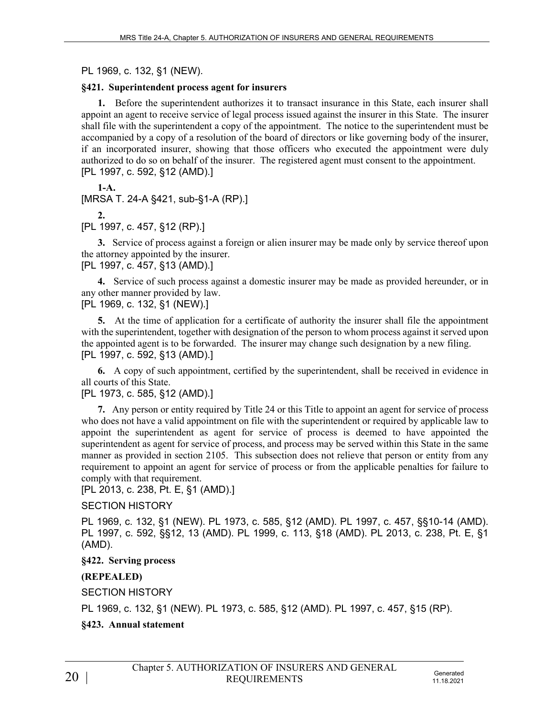PL 1969, c. 132, §1 (NEW).

### **§421. Superintendent process agent for insurers**

**1.** Before the superintendent authorizes it to transact insurance in this State, each insurer shall appoint an agent to receive service of legal process issued against the insurer in this State. The insurer shall file with the superintendent a copy of the appointment. The notice to the superintendent must be accompanied by a copy of a resolution of the board of directors or like governing body of the insurer, if an incorporated insurer, showing that those officers who executed the appointment were duly authorized to do so on behalf of the insurer. The registered agent must consent to the appointment. [PL 1997, c. 592, §12 (AMD).]

 $1-A$ . [MRSA T. 24-A §421, sub-§1-A (RP).]

**2.** 

[PL 1997, c. 457, §12 (RP).]

**3.** Service of process against a foreign or alien insurer may be made only by service thereof upon the attorney appointed by the insurer.

[PL 1997, c. 457, §13 (AMD).]

**4.** Service of such process against a domestic insurer may be made as provided hereunder, or in any other manner provided by law.

[PL 1969, c. 132, §1 (NEW).]

**5.** At the time of application for a certificate of authority the insurer shall file the appointment with the superintendent, together with designation of the person to whom process against it served upon the appointed agent is to be forwarded. The insurer may change such designation by a new filing. [PL 1997, c. 592, §13 (AMD).]

**6.** A copy of such appointment, certified by the superintendent, shall be received in evidence in all courts of this State.

### [PL 1973, c. 585, §12 (AMD).]

**7.** Any person or entity required by Title 24 or this Title to appoint an agent for service of process who does not have a valid appointment on file with the superintendent or required by applicable law to appoint the superintendent as agent for service of process is deemed to have appointed the superintendent as agent for service of process, and process may be served within this State in the same manner as provided in section 2105. This subsection does not relieve that person or entity from any requirement to appoint an agent for service of process or from the applicable penalties for failure to comply with that requirement.

[PL 2013, c. 238, Pt. E, §1 (AMD).]

## SECTION HISTORY

PL 1969, c. 132, §1 (NEW). PL 1973, c. 585, §12 (AMD). PL 1997, c. 457, §§10-14 (AMD). PL 1997, c. 592, §§12, 13 (AMD). PL 1999, c. 113, §18 (AMD). PL 2013, c. 238, Pt. E, §1 (AMD).

## **§422. Serving process**

## **(REPEALED)**

SECTION HISTORY

PL 1969, c. 132, §1 (NEW). PL 1973, c. 585, §12 (AMD). PL 1997, c. 457, §15 (RP).

# **§423. Annual statement**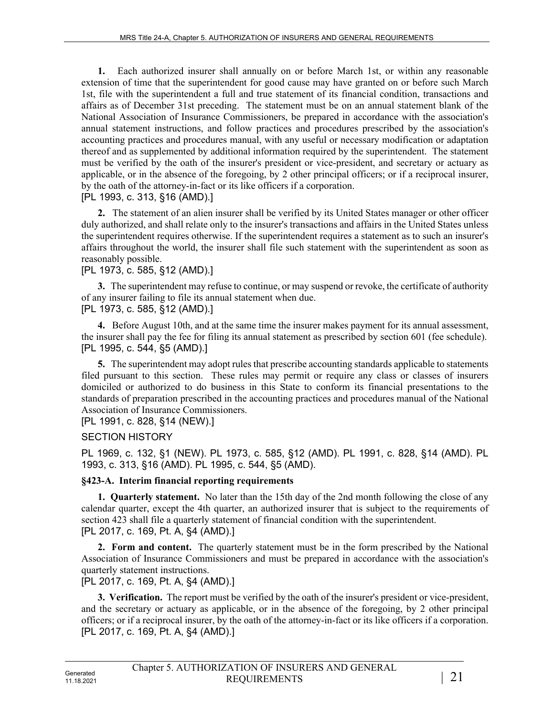**1.** Each authorized insurer shall annually on or before March 1st, or within any reasonable extension of time that the superintendent for good cause may have granted on or before such March 1st, file with the superintendent a full and true statement of its financial condition, transactions and affairs as of December 31st preceding. The statement must be on an annual statement blank of the National Association of Insurance Commissioners, be prepared in accordance with the association's annual statement instructions, and follow practices and procedures prescribed by the association's accounting practices and procedures manual, with any useful or necessary modification or adaptation thereof and as supplemented by additional information required by the superintendent. The statement must be verified by the oath of the insurer's president or vice-president, and secretary or actuary as applicable, or in the absence of the foregoing, by 2 other principal officers; or if a reciprocal insurer, by the oath of the attorney-in-fact or its like officers if a corporation. [PL 1993, c. 313, §16 (AMD).]

**2.** The statement of an alien insurer shall be verified by its United States manager or other officer duly authorized, and shall relate only to the insurer's transactions and affairs in the United States unless the superintendent requires otherwise. If the superintendent requires a statement as to such an insurer's affairs throughout the world, the insurer shall file such statement with the superintendent as soon as reasonably possible.

#### [PL 1973, c. 585, §12 (AMD).]

**3.** The superintendent may refuse to continue, or may suspend or revoke, the certificate of authority of any insurer failing to file its annual statement when due. [PL 1973, c. 585, §12 (AMD).]

**4.** Before August 10th, and at the same time the insurer makes payment for its annual assessment, the insurer shall pay the fee for filing its annual statement as prescribed by section 601 (fee schedule). [PL 1995, c. 544, §5 (AMD).]

**5.** The superintendent may adopt rules that prescribe accounting standards applicable to statements filed pursuant to this section. These rules may permit or require any class or classes of insurers domiciled or authorized to do business in this State to conform its financial presentations to the standards of preparation prescribed in the accounting practices and procedures manual of the National Association of Insurance Commissioners.

[PL 1991, c. 828, §14 (NEW).]

### SECTION HISTORY

PL 1969, c. 132, §1 (NEW). PL 1973, c. 585, §12 (AMD). PL 1991, c. 828, §14 (AMD). PL 1993, c. 313, §16 (AMD). PL 1995, c. 544, §5 (AMD).

### **§423-A. Interim financial reporting requirements**

**1. Quarterly statement.** No later than the 15th day of the 2nd month following the close of any calendar quarter, except the 4th quarter, an authorized insurer that is subject to the requirements of section 423 shall file a quarterly statement of financial condition with the superintendent. [PL 2017, c. 169, Pt. A, §4 (AMD).]

**2. Form and content.** The quarterly statement must be in the form prescribed by the National Association of Insurance Commissioners and must be prepared in accordance with the association's quarterly statement instructions.

[PL 2017, c. 169, Pt. A, §4 (AMD).]

**3. Verification.** The report must be verified by the oath of the insurer's president or vice-president, and the secretary or actuary as applicable, or in the absence of the foregoing, by 2 other principal officers; or if a reciprocal insurer, by the oath of the attorney-in-fact or its like officers if a corporation. [PL 2017, c. 169, Pt. A, §4 (AMD).]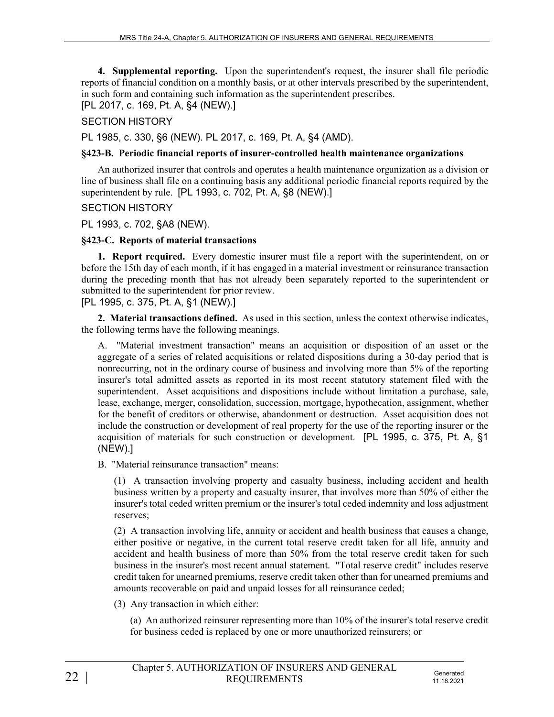**4. Supplemental reporting.** Upon the superintendent's request, the insurer shall file periodic reports of financial condition on a monthly basis, or at other intervals prescribed by the superintendent, in such form and containing such information as the superintendent prescribes.

[PL 2017, c. 169, Pt. A, §4 (NEW).]

### SECTION HISTORY

PL 1985, c. 330, §6 (NEW). PL 2017, c. 169, Pt. A, §4 (AMD).

### **§423-B. Periodic financial reports of insurer-controlled health maintenance organizations**

An authorized insurer that controls and operates a health maintenance organization as a division or line of business shall file on a continuing basis any additional periodic financial reports required by the superintendent by rule. [PL 1993, c. 702, Pt. A, §8 (NEW).]

### SECTION HISTORY

PL 1993, c. 702, §A8 (NEW).

### **§423-C. Reports of material transactions**

**1. Report required.** Every domestic insurer must file a report with the superintendent, on or before the 15th day of each month, if it has engaged in a material investment or reinsurance transaction during the preceding month that has not already been separately reported to the superintendent or submitted to the superintendent for prior review.

[PL 1995, c. 375, Pt. A, §1 (NEW).]

**2. Material transactions defined.** As used in this section, unless the context otherwise indicates, the following terms have the following meanings.

A. "Material investment transaction" means an acquisition or disposition of an asset or the aggregate of a series of related acquisitions or related dispositions during a 30-day period that is nonrecurring, not in the ordinary course of business and involving more than 5% of the reporting insurer's total admitted assets as reported in its most recent statutory statement filed with the superintendent. Asset acquisitions and dispositions include without limitation a purchase, sale, lease, exchange, merger, consolidation, succession, mortgage, hypothecation, assignment, whether for the benefit of creditors or otherwise, abandonment or destruction. Asset acquisition does not include the construction or development of real property for the use of the reporting insurer or the acquisition of materials for such construction or development. [PL 1995, c. 375, Pt. A, §1 (NEW).]

B. "Material reinsurance transaction" means:

(1) A transaction involving property and casualty business, including accident and health business written by a property and casualty insurer, that involves more than 50% of either the insurer's total ceded written premium or the insurer's total ceded indemnity and loss adjustment reserves;

(2) A transaction involving life, annuity or accident and health business that causes a change, either positive or negative, in the current total reserve credit taken for all life, annuity and accident and health business of more than 50% from the total reserve credit taken for such business in the insurer's most recent annual statement. "Total reserve credit" includes reserve credit taken for unearned premiums, reserve credit taken other than for unearned premiums and amounts recoverable on paid and unpaid losses for all reinsurance ceded;

(3) Any transaction in which either:

(a) An authorized reinsurer representing more than 10% of the insurer's total reserve credit for business ceded is replaced by one or more unauthorized reinsurers; or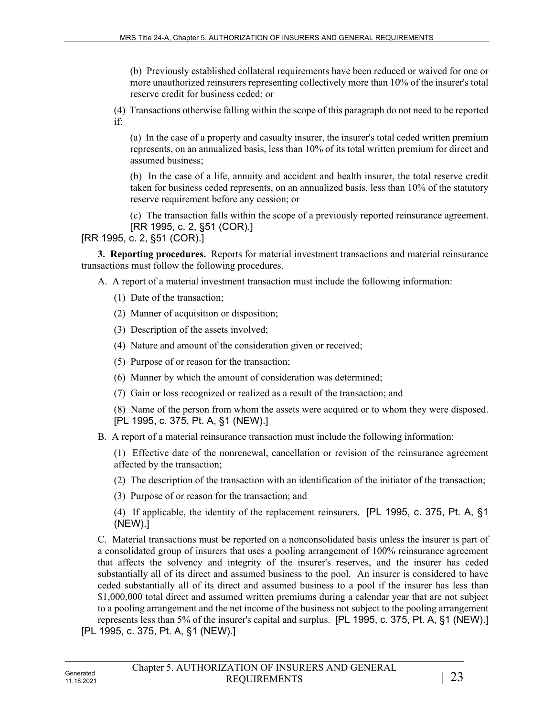(b) Previously established collateral requirements have been reduced or waived for one or more unauthorized reinsurers representing collectively more than 10% of the insurer's total reserve credit for business ceded; or

(4) Transactions otherwise falling within the scope of this paragraph do not need to be reported if:

(a) In the case of a property and casualty insurer, the insurer's total ceded written premium represents, on an annualized basis, less than 10% of its total written premium for direct and assumed business;

(b) In the case of a life, annuity and accident and health insurer, the total reserve credit taken for business ceded represents, on an annualized basis, less than 10% of the statutory reserve requirement before any cession; or

(c) The transaction falls within the scope of a previously reported reinsurance agreement. [RR 1995, c. 2, §51 (COR).]

#### [RR 1995, c. 2, §51 (COR).]

**3. Reporting procedures.** Reports for material investment transactions and material reinsurance transactions must follow the following procedures.

- A. A report of a material investment transaction must include the following information:
	- (1) Date of the transaction;
	- (2) Manner of acquisition or disposition;
	- (3) Description of the assets involved;
	- (4) Nature and amount of the consideration given or received;
	- (5) Purpose of or reason for the transaction;
	- (6) Manner by which the amount of consideration was determined;
	- (7) Gain or loss recognized or realized as a result of the transaction; and

(8) Name of the person from whom the assets were acquired or to whom they were disposed. [PL 1995, c. 375, Pt. A, §1 (NEW).]

B. A report of a material reinsurance transaction must include the following information:

(1) Effective date of the nonrenewal, cancellation or revision of the reinsurance agreement affected by the transaction;

(2) The description of the transaction with an identification of the initiator of the transaction;

(3) Purpose of or reason for the transaction; and

(4) If applicable, the identity of the replacement reinsurers. [PL 1995, c. 375, Pt. A, §1 (NEW).]

C. Material transactions must be reported on a nonconsolidated basis unless the insurer is part of a consolidated group of insurers that uses a pooling arrangement of 100% reinsurance agreement that affects the solvency and integrity of the insurer's reserves, and the insurer has ceded substantially all of its direct and assumed business to the pool. An insurer is considered to have ceded substantially all of its direct and assumed business to a pool if the insurer has less than \$1,000,000 total direct and assumed written premiums during a calendar year that are not subject to a pooling arrangement and the net income of the business not subject to the pooling arrangement represents less than 5% of the insurer's capital and surplus. [PL 1995, c. 375, Pt. A, §1 (NEW).] [PL 1995, c. 375, Pt. A, §1 (NEW).]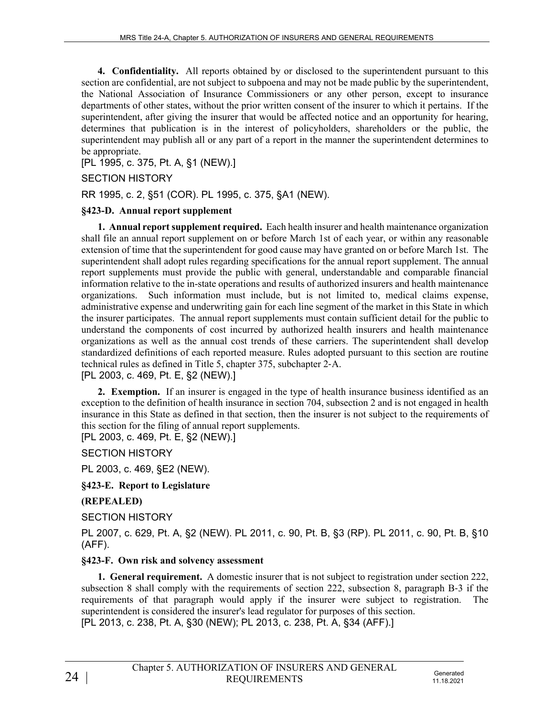**4. Confidentiality.** All reports obtained by or disclosed to the superintendent pursuant to this section are confidential, are not subject to subpoena and may not be made public by the superintendent, the National Association of Insurance Commissioners or any other person, except to insurance departments of other states, without the prior written consent of the insurer to which it pertains. If the superintendent, after giving the insurer that would be affected notice and an opportunity for hearing, determines that publication is in the interest of policyholders, shareholders or the public, the superintendent may publish all or any part of a report in the manner the superintendent determines to be appropriate.

[PL 1995, c. 375, Pt. A, §1 (NEW).]

### SECTION HISTORY

RR 1995, c. 2, §51 (COR). PL 1995, c. 375, §A1 (NEW).

### **§423-D. Annual report supplement**

**1. Annual report supplement required.** Each health insurer and health maintenance organization shall file an annual report supplement on or before March 1st of each year, or within any reasonable extension of time that the superintendent for good cause may have granted on or before March 1st. The superintendent shall adopt rules regarding specifications for the annual report supplement. The annual report supplements must provide the public with general, understandable and comparable financial information relative to the in-state operations and results of authorized insurers and health maintenance organizations. Such information must include, but is not limited to, medical claims expense, administrative expense and underwriting gain for each line segment of the market in this State in which the insurer participates. The annual report supplements must contain sufficient detail for the public to understand the components of cost incurred by authorized health insurers and health maintenance organizations as well as the annual cost trends of these carriers. The superintendent shall develop standardized definitions of each reported measure. Rules adopted pursuant to this section are routine technical rules as defined in Title 5, chapter 375, subchapter 2‑A. [PL 2003, c. 469, Pt. E, §2 (NEW).]

**2. Exemption.** If an insurer is engaged in the type of health insurance business identified as an exception to the definition of health insurance in section 704, subsection 2 and is not engaged in health insurance in this State as defined in that section, then the insurer is not subject to the requirements of this section for the filing of annual report supplements.

[PL 2003, c. 469, Pt. E, §2 (NEW).]

SECTION HISTORY

PL 2003, c. 469, §E2 (NEW).

**§423-E. Report to Legislature**

### **(REPEALED)**

SECTION HISTORY

PL 2007, c. 629, Pt. A, §2 (NEW). PL 2011, c. 90, Pt. B, §3 (RP). PL 2011, c. 90, Pt. B, §10 (AFF).

### **§423-F. Own risk and solvency assessment**

**1. General requirement.** A domestic insurer that is not subject to registration under section 222, subsection 8 shall comply with the requirements of section 222, subsection 8, paragraph  $B-3$  if the requirements of that paragraph would apply if the insurer were subject to registration. The superintendent is considered the insurer's lead regulator for purposes of this section. [PL 2013, c. 238, Pt. A, §30 (NEW); PL 2013, c. 238, Pt. A, §34 (AFF).]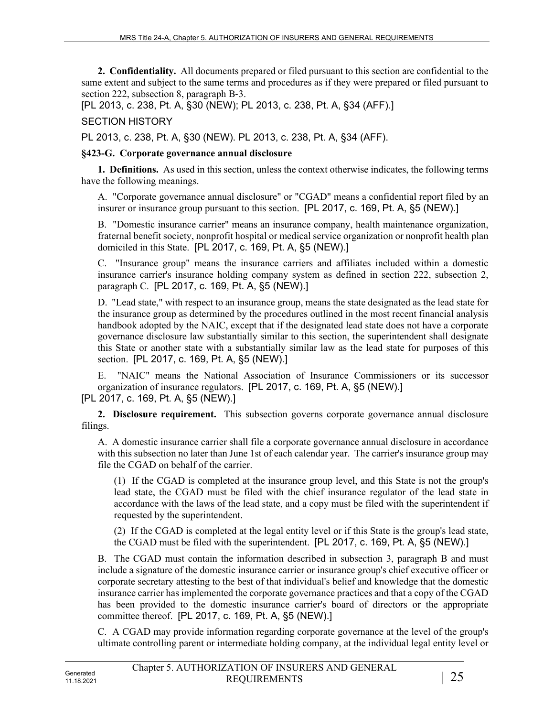**2. Confidentiality.** All documents prepared or filed pursuant to this section are confidential to the same extent and subject to the same terms and procedures as if they were prepared or filed pursuant to section 222, subsection 8, paragraph B-3.

[PL 2013, c. 238, Pt. A, §30 (NEW); PL 2013, c. 238, Pt. A, §34 (AFF).]

SECTION HISTORY

PL 2013, c. 238, Pt. A, §30 (NEW). PL 2013, c. 238, Pt. A, §34 (AFF).

### **§423-G. Corporate governance annual disclosure**

**1. Definitions.** As used in this section, unless the context otherwise indicates, the following terms have the following meanings.

A. "Corporate governance annual disclosure" or "CGAD" means a confidential report filed by an insurer or insurance group pursuant to this section. [PL 2017, c. 169, Pt. A, §5 (NEW).]

B. "Domestic insurance carrier" means an insurance company, health maintenance organization, fraternal benefit society, nonprofit hospital or medical service organization or nonprofit health plan domiciled in this State. [PL 2017, c. 169, Pt. A, §5 (NEW).]

C. "Insurance group" means the insurance carriers and affiliates included within a domestic insurance carrier's insurance holding company system as defined in section 222, subsection 2, paragraph C. [PL 2017, c. 169, Pt. A, §5 (NEW).]

D. "Lead state," with respect to an insurance group, means the state designated as the lead state for the insurance group as determined by the procedures outlined in the most recent financial analysis handbook adopted by the NAIC, except that if the designated lead state does not have a corporate governance disclosure law substantially similar to this section, the superintendent shall designate this State or another state with a substantially similar law as the lead state for purposes of this section. [PL 2017, c. 169, Pt. A, §5 (NEW).]

E. "NAIC" means the National Association of Insurance Commissioners or its successor organization of insurance regulators. [PL 2017, c. 169, Pt. A, §5 (NEW).] [PL 2017, c. 169, Pt. A, §5 (NEW).]

**2. Disclosure requirement.** This subsection governs corporate governance annual disclosure filings.

A. A domestic insurance carrier shall file a corporate governance annual disclosure in accordance with this subsection no later than June 1st of each calendar year. The carrier's insurance group may file the CGAD on behalf of the carrier.

(1) If the CGAD is completed at the insurance group level, and this State is not the group's lead state, the CGAD must be filed with the chief insurance regulator of the lead state in accordance with the laws of the lead state, and a copy must be filed with the superintendent if requested by the superintendent.

(2) If the CGAD is completed at the legal entity level or if this State is the group's lead state, the CGAD must be filed with the superintendent. [PL 2017, c. 169, Pt. A, §5 (NEW).]

B. The CGAD must contain the information described in subsection 3, paragraph B and must include a signature of the domestic insurance carrier or insurance group's chief executive officer or corporate secretary attesting to the best of that individual's belief and knowledge that the domestic insurance carrier has implemented the corporate governance practices and that a copy of the CGAD has been provided to the domestic insurance carrier's board of directors or the appropriate committee thereof. [PL 2017, c. 169, Pt. A, §5 (NEW).]

C. A CGAD may provide information regarding corporate governance at the level of the group's ultimate controlling parent or intermediate holding company, at the individual legal entity level or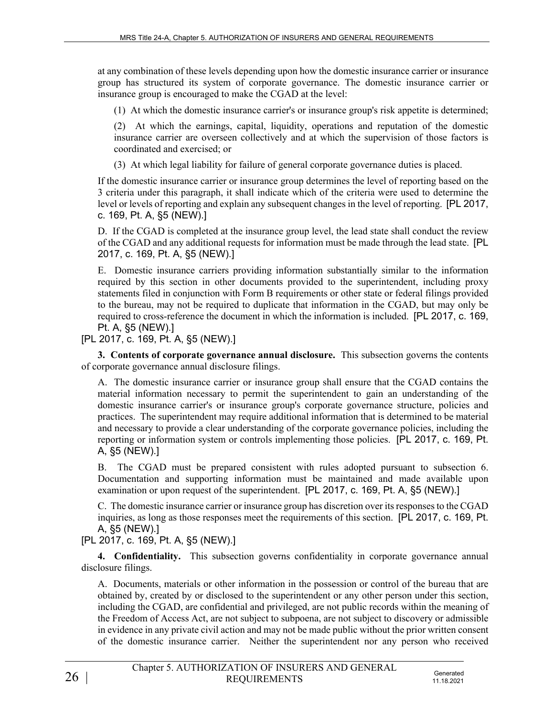at any combination of these levels depending upon how the domestic insurance carrier or insurance group has structured its system of corporate governance. The domestic insurance carrier or insurance group is encouraged to make the CGAD at the level:

(1) At which the domestic insurance carrier's or insurance group's risk appetite is determined;

(2) At which the earnings, capital, liquidity, operations and reputation of the domestic insurance carrier are overseen collectively and at which the supervision of those factors is coordinated and exercised; or

(3) At which legal liability for failure of general corporate governance duties is placed.

If the domestic insurance carrier or insurance group determines the level of reporting based on the 3 criteria under this paragraph, it shall indicate which of the criteria were used to determine the level or levels of reporting and explain any subsequent changes in the level of reporting. [PL 2017, c. 169, Pt. A, §5 (NEW).]

D. If the CGAD is completed at the insurance group level, the lead state shall conduct the review of the CGAD and any additional requests for information must be made through the lead state. [PL 2017, c. 169, Pt. A, §5 (NEW).]

E. Domestic insurance carriers providing information substantially similar to the information required by this section in other documents provided to the superintendent, including proxy statements filed in conjunction with Form B requirements or other state or federal filings provided to the bureau, may not be required to duplicate that information in the CGAD, but may only be required to cross-reference the document in which the information is included. [PL 2017, c. 169, Pt. A, §5 (NEW).]

[PL 2017, c. 169, Pt. A, §5 (NEW).]

**3. Contents of corporate governance annual disclosure.** This subsection governs the contents of corporate governance annual disclosure filings.

A. The domestic insurance carrier or insurance group shall ensure that the CGAD contains the material information necessary to permit the superintendent to gain an understanding of the domestic insurance carrier's or insurance group's corporate governance structure, policies and practices. The superintendent may require additional information that is determined to be material and necessary to provide a clear understanding of the corporate governance policies, including the reporting or information system or controls implementing those policies. [PL 2017, c. 169, Pt. A, §5 (NEW).]

B. The CGAD must be prepared consistent with rules adopted pursuant to subsection 6. Documentation and supporting information must be maintained and made available upon examination or upon request of the superintendent. [PL 2017, c. 169, Pt. A, §5 (NEW).]

C. The domestic insurance carrier or insurance group has discretion over its responses to the CGAD inquiries, as long as those responses meet the requirements of this section. [PL 2017, c. 169, Pt. A, §5 (NEW).]

[PL 2017, c. 169, Pt. A, §5 (NEW).]

**4. Confidentiality.** This subsection governs confidentiality in corporate governance annual disclosure filings.

A. Documents, materials or other information in the possession or control of the bureau that are obtained by, created by or disclosed to the superintendent or any other person under this section, including the CGAD, are confidential and privileged, are not public records within the meaning of the Freedom of Access Act, are not subject to subpoena, are not subject to discovery or admissible in evidence in any private civil action and may not be made public without the prior written consent of the domestic insurance carrier. Neither the superintendent nor any person who received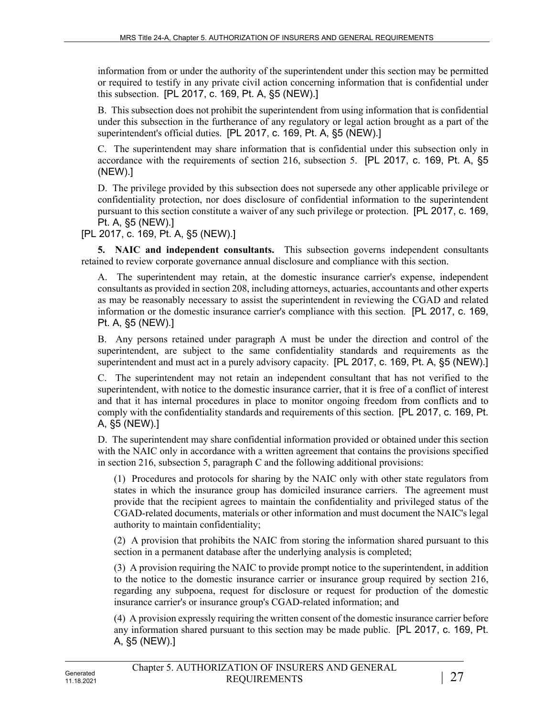information from or under the authority of the superintendent under this section may be permitted or required to testify in any private civil action concerning information that is confidential under this subsection. [PL 2017, c. 169, Pt. A, §5 (NEW).]

B. This subsection does not prohibit the superintendent from using information that is confidential under this subsection in the furtherance of any regulatory or legal action brought as a part of the superintendent's official duties. [PL 2017, c. 169, Pt. A, §5 (NEW).]

C. The superintendent may share information that is confidential under this subsection only in accordance with the requirements of section 216, subsection 5. [PL 2017, c. 169, Pt. A, §5 (NEW).]

D. The privilege provided by this subsection does not supersede any other applicable privilege or confidentiality protection, nor does disclosure of confidential information to the superintendent pursuant to this section constitute a waiver of any such privilege or protection. [PL 2017, c. 169, Pt. A, §5 (NEW).]

[PL 2017, c. 169, Pt. A, §5 (NEW).]

**5. NAIC and independent consultants.** This subsection governs independent consultants retained to review corporate governance annual disclosure and compliance with this section.

A. The superintendent may retain, at the domestic insurance carrier's expense, independent consultants as provided in section 208, including attorneys, actuaries, accountants and other experts as may be reasonably necessary to assist the superintendent in reviewing the CGAD and related information or the domestic insurance carrier's compliance with this section. [PL 2017, c. 169, Pt. A, §5 (NEW).]

B. Any persons retained under paragraph A must be under the direction and control of the superintendent, are subject to the same confidentiality standards and requirements as the superintendent and must act in a purely advisory capacity. [PL 2017, c. 169, Pt. A, §5 (NEW).]

C. The superintendent may not retain an independent consultant that has not verified to the superintendent, with notice to the domestic insurance carrier, that it is free of a conflict of interest and that it has internal procedures in place to monitor ongoing freedom from conflicts and to comply with the confidentiality standards and requirements of this section. [PL 2017, c. 169, Pt. A, §5 (NEW).]

D. The superintendent may share confidential information provided or obtained under this section with the NAIC only in accordance with a written agreement that contains the provisions specified in section 216, subsection 5, paragraph C and the following additional provisions:

(1) Procedures and protocols for sharing by the NAIC only with other state regulators from states in which the insurance group has domiciled insurance carriers. The agreement must provide that the recipient agrees to maintain the confidentiality and privileged status of the CGAD-related documents, materials or other information and must document the NAIC's legal authority to maintain confidentiality;

(2) A provision that prohibits the NAIC from storing the information shared pursuant to this section in a permanent database after the underlying analysis is completed;

(3) A provision requiring the NAIC to provide prompt notice to the superintendent, in addition to the notice to the domestic insurance carrier or insurance group required by section 216, regarding any subpoena, request for disclosure or request for production of the domestic insurance carrier's or insurance group's CGAD-related information; and

(4) A provision expressly requiring the written consent of the domestic insurance carrier before any information shared pursuant to this section may be made public. [PL 2017, c. 169, Pt. A, §5 (NEW).]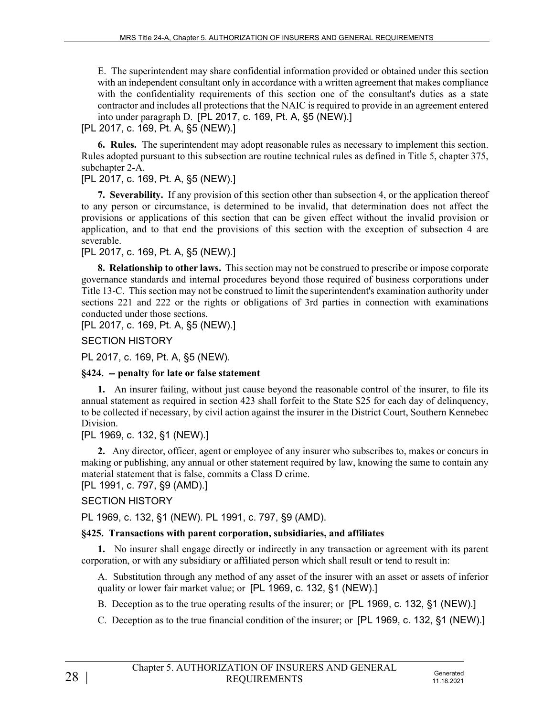E. The superintendent may share confidential information provided or obtained under this section with an independent consultant only in accordance with a written agreement that makes compliance with the confidentiality requirements of this section one of the consultant's duties as a state contractor and includes all protections that the NAIC is required to provide in an agreement entered into under paragraph D. [PL 2017, c. 169, Pt. A, §5 (NEW).]

[PL 2017, c. 169, Pt. A, §5 (NEW).]

**6. Rules.** The superintendent may adopt reasonable rules as necessary to implement this section. Rules adopted pursuant to this subsection are routine technical rules as defined in Title 5, chapter 375, subchapter 2-A.

### [PL 2017, c. 169, Pt. A, §5 (NEW).]

**7. Severability.** If any provision of this section other than subsection 4, or the application thereof to any person or circumstance, is determined to be invalid, that determination does not affect the provisions or applications of this section that can be given effect without the invalid provision or application, and to that end the provisions of this section with the exception of subsection 4 are severable.

[PL 2017, c. 169, Pt. A, §5 (NEW).]

**8. Relationship to other laws.** This section may not be construed to prescribe or impose corporate governance standards and internal procedures beyond those required of business corporations under Title 13‑C. This section may not be construed to limit the superintendent's examination authority under sections 221 and 222 or the rights or obligations of 3rd parties in connection with examinations conducted under those sections.

[PL 2017, c. 169, Pt. A, §5 (NEW).]

SECTION HISTORY

PL 2017, c. 169, Pt. A, §5 (NEW).

### **§424. -- penalty for late or false statement**

**1.** An insurer failing, without just cause beyond the reasonable control of the insurer, to file its annual statement as required in section 423 shall forfeit to the State \$25 for each day of delinquency, to be collected if necessary, by civil action against the insurer in the District Court, Southern Kennebec Division.

## [PL 1969, c. 132, §1 (NEW).]

**2.** Any director, officer, agent or employee of any insurer who subscribes to, makes or concurs in making or publishing, any annual or other statement required by law, knowing the same to contain any material statement that is false, commits a Class D crime.

[PL 1991, c. 797, §9 (AMD).]

## SECTION HISTORY

PL 1969, c. 132, §1 (NEW). PL 1991, c. 797, §9 (AMD).

## **§425. Transactions with parent corporation, subsidiaries, and affiliates**

**1.** No insurer shall engage directly or indirectly in any transaction or agreement with its parent corporation, or with any subsidiary or affiliated person which shall result or tend to result in:

A. Substitution through any method of any asset of the insurer with an asset or assets of inferior quality or lower fair market value; or [PL 1969, c. 132, §1 (NEW).]

B. Deception as to the true operating results of the insurer; or [PL 1969, c. 132, §1 (NEW).]

C. Deception as to the true financial condition of the insurer; or [PL 1969, c. 132, §1 (NEW).]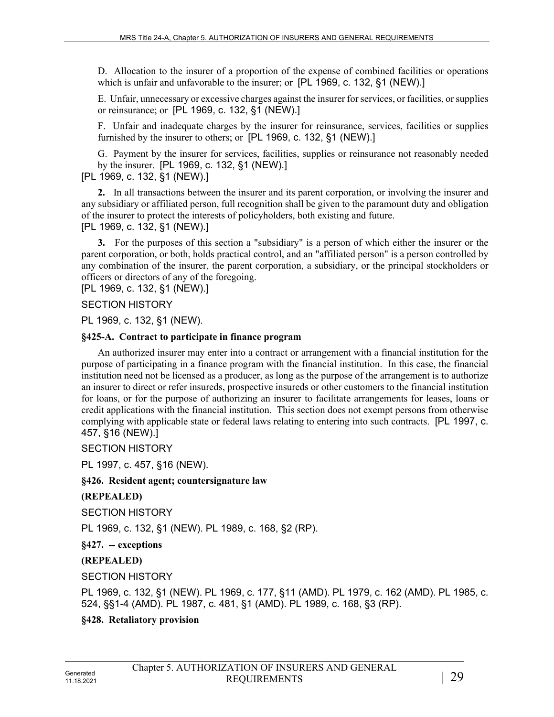D. Allocation to the insurer of a proportion of the expense of combined facilities or operations which is unfair and unfavorable to the insurer; or [PL 1969, c. 132, §1 (NEW).]

E. Unfair, unnecessary or excessive charges against the insurer for services, or facilities, or supplies or reinsurance; or [PL 1969, c. 132, §1 (NEW).]

F. Unfair and inadequate charges by the insurer for reinsurance, services, facilities or supplies furnished by the insurer to others; or [PL 1969, c. 132, §1 (NEW).]

G. Payment by the insurer for services, facilities, supplies or reinsurance not reasonably needed by the insurer. [PL 1969, c. 132, §1 (NEW).]

### [PL 1969, c. 132, §1 (NEW).]

**2.** In all transactions between the insurer and its parent corporation, or involving the insurer and any subsidiary or affiliated person, full recognition shall be given to the paramount duty and obligation of the insurer to protect the interests of policyholders, both existing and future. [PL 1969, c. 132, §1 (NEW).]

**3.** For the purposes of this section a "subsidiary" is a person of which either the insurer or the parent corporation, or both, holds practical control, and an "affiliated person" is a person controlled by any combination of the insurer, the parent corporation, a subsidiary, or the principal stockholders or officers or directors of any of the foregoing.

[PL 1969, c. 132, §1 (NEW).]

SECTION HISTORY

PL 1969, c. 132, §1 (NEW).

#### **§425-A. Contract to participate in finance program**

An authorized insurer may enter into a contract or arrangement with a financial institution for the purpose of participating in a finance program with the financial institution. In this case, the financial institution need not be licensed as a producer, as long as the purpose of the arrangement is to authorize an insurer to direct or refer insureds, prospective insureds or other customers to the financial institution for loans, or for the purpose of authorizing an insurer to facilitate arrangements for leases, loans or credit applications with the financial institution. This section does not exempt persons from otherwise complying with applicable state or federal laws relating to entering into such contracts. [PL 1997, c. 457, §16 (NEW).]

SECTION HISTORY

PL 1997, c. 457, §16 (NEW).

### **§426. Resident agent; countersignature law**

**(REPEALED)**

SECTION HISTORY

PL 1969, c. 132, §1 (NEW). PL 1989, c. 168, §2 (RP).

**§427. -- exceptions**

**(REPEALED)**

SECTION HISTORY

PL 1969, c. 132, §1 (NEW). PL 1969, c. 177, §11 (AMD). PL 1979, c. 162 (AMD). PL 1985, c. 524, §§1-4 (AMD). PL 1987, c. 481, §1 (AMD). PL 1989, c. 168, §3 (RP).

## **§428. Retaliatory provision**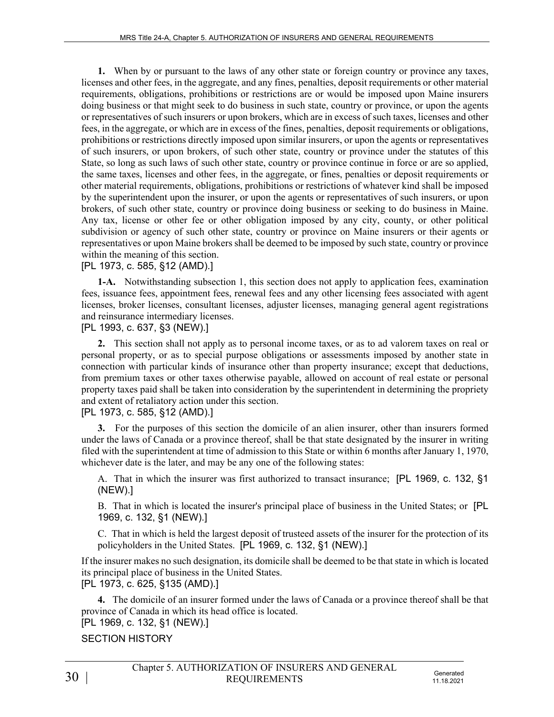**1.** When by or pursuant to the laws of any other state or foreign country or province any taxes, licenses and other fees, in the aggregate, and any fines, penalties, deposit requirements or other material requirements, obligations, prohibitions or restrictions are or would be imposed upon Maine insurers doing business or that might seek to do business in such state, country or province, or upon the agents or representatives of such insurers or upon brokers, which are in excess of such taxes, licenses and other fees, in the aggregate, or which are in excess of the fines, penalties, deposit requirements or obligations, prohibitions or restrictions directly imposed upon similar insurers, or upon the agents or representatives of such insurers, or upon brokers, of such other state, country or province under the statutes of this State, so long as such laws of such other state, country or province continue in force or are so applied, the same taxes, licenses and other fees, in the aggregate, or fines, penalties or deposit requirements or other material requirements, obligations, prohibitions or restrictions of whatever kind shall be imposed by the superintendent upon the insurer, or upon the agents or representatives of such insurers, or upon brokers, of such other state, country or province doing business or seeking to do business in Maine. Any tax, license or other fee or other obligation imposed by any city, county, or other political subdivision or agency of such other state, country or province on Maine insurers or their agents or representatives or upon Maine brokers shall be deemed to be imposed by such state, country or province within the meaning of this section.

### [PL 1973, c. 585, §12 (AMD).]

**1-A.** Notwithstanding subsection 1, this section does not apply to application fees, examination fees, issuance fees, appointment fees, renewal fees and any other licensing fees associated with agent licenses, broker licenses, consultant licenses, adjuster licenses, managing general agent registrations and reinsurance intermediary licenses.

[PL 1993, c. 637, §3 (NEW).]

**2.** This section shall not apply as to personal income taxes, or as to ad valorem taxes on real or personal property, or as to special purpose obligations or assessments imposed by another state in connection with particular kinds of insurance other than property insurance; except that deductions, from premium taxes or other taxes otherwise payable, allowed on account of real estate or personal property taxes paid shall be taken into consideration by the superintendent in determining the propriety and extent of retaliatory action under this section.

[PL 1973, c. 585, §12 (AMD).]

**3.** For the purposes of this section the domicile of an alien insurer, other than insurers formed under the laws of Canada or a province thereof, shall be that state designated by the insurer in writing filed with the superintendent at time of admission to this State or within 6 months after January 1, 1970, whichever date is the later, and may be any one of the following states:

A. That in which the insurer was first authorized to transact insurance; [PL 1969, c. 132, §1 (NEW).]

B. That in which is located the insurer's principal place of business in the United States; or [PL 1969, c. 132, §1 (NEW).]

C. That in which is held the largest deposit of trusteed assets of the insurer for the protection of its policyholders in the United States. [PL 1969, c. 132, §1 (NEW).]

If the insurer makes no such designation, its domicile shall be deemed to be that state in which is located its principal place of business in the United States.

[PL 1973, c. 625, §135 (AMD).]

**4.** The domicile of an insurer formed under the laws of Canada or a province thereof shall be that province of Canada in which its head office is located.

[PL 1969, c. 132, §1 (NEW).]

SECTION HISTORY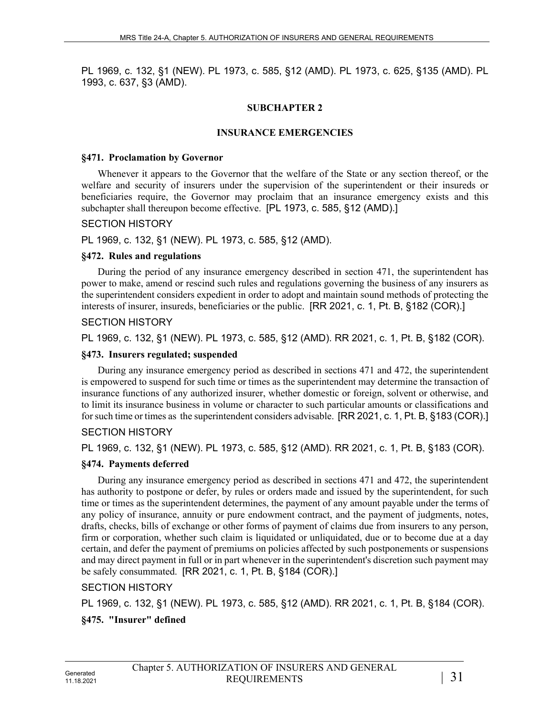PL 1969, c. 132, §1 (NEW). PL 1973, c. 585, §12 (AMD). PL 1973, c. 625, §135 (AMD). PL 1993, c. 637, §3 (AMD).

### **SUBCHAPTER 2**

#### **INSURANCE EMERGENCIES**

#### **§471. Proclamation by Governor**

Whenever it appears to the Governor that the welfare of the State or any section thereof, or the welfare and security of insurers under the supervision of the superintendent or their insureds or beneficiaries require, the Governor may proclaim that an insurance emergency exists and this subchapter shall thereupon become effective. [PL 1973, c. 585, §12 (AMD).]

#### SECTION HISTORY

PL 1969, c. 132, §1 (NEW). PL 1973, c. 585, §12 (AMD).

#### **§472. Rules and regulations**

During the period of any insurance emergency described in section 471, the superintendent has power to make, amend or rescind such rules and regulations governing the business of any insurers as the superintendent considers expedient in order to adopt and maintain sound methods of protecting the interests of insurer, insureds, beneficiaries or the public. [RR 2021, c. 1, Pt. B, §182 (COR).]

### SECTION HISTORY

PL 1969, c. 132, §1 (NEW). PL 1973, c. 585, §12 (AMD). RR 2021, c. 1, Pt. B, §182 (COR).

#### **§473. Insurers regulated; suspended**

During any insurance emergency period as described in sections 471 and 472, the superintendent is empowered to suspend for such time or times as the superintendent may determine the transaction of insurance functions of any authorized insurer, whether domestic or foreign, solvent or otherwise, and to limit its insurance business in volume or character to such particular amounts or classifications and for such time or times as the superintendent considers advisable. [RR 2021, c. 1, Pt. B, §183 (COR).]

### SECTION HISTORY

PL 1969, c. 132, §1 (NEW). PL 1973, c. 585, §12 (AMD). RR 2021, c. 1, Pt. B, §183 (COR).

### **§474. Payments deferred**

During any insurance emergency period as described in sections 471 and 472, the superintendent has authority to postpone or defer, by rules or orders made and issued by the superintendent, for such time or times as the superintendent determines, the payment of any amount payable under the terms of any policy of insurance, annuity or pure endowment contract, and the payment of judgments, notes, drafts, checks, bills of exchange or other forms of payment of claims due from insurers to any person, firm or corporation, whether such claim is liquidated or unliquidated, due or to become due at a day certain, and defer the payment of premiums on policies affected by such postponements or suspensions and may direct payment in full or in part whenever in the superintendent's discretion such payment may be safely consummated. [RR 2021, c. 1, Pt. B, §184 (COR).]

SECTION HISTORY

PL 1969, c. 132, §1 (NEW). PL 1973, c. 585, §12 (AMD). RR 2021, c. 1, Pt. B, §184 (COR).

## **§475. "Insurer" defined**